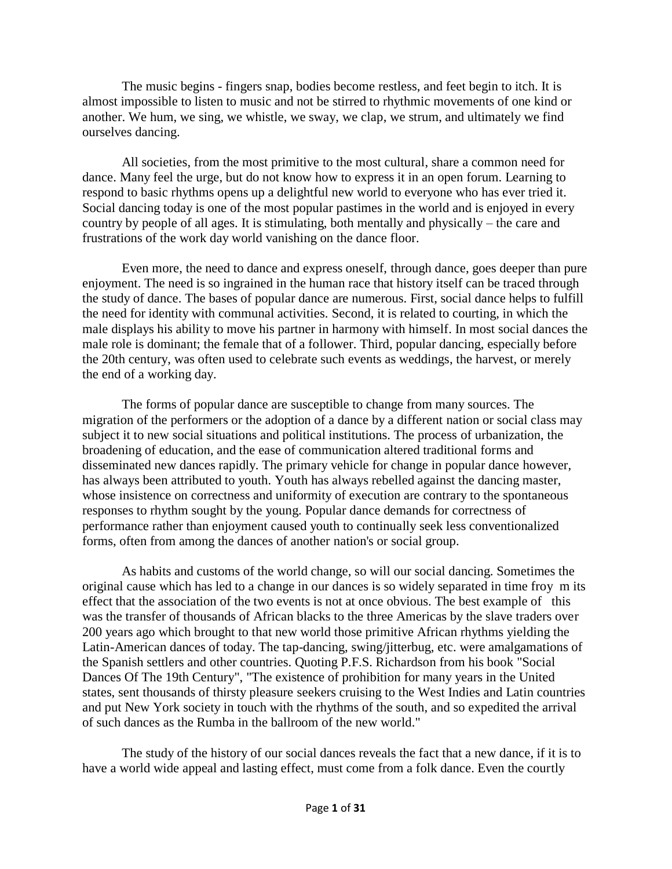The music begins - fingers snap, bodies become restless, and feet begin to itch. It is almost impossible to listen to music and not be stirred to rhythmic movements of one kind or another. We hum, we sing, we whistle, we sway, we clap, we strum, and ultimately we find ourselves dancing.

All societies, from the most primitive to the most cultural, share a common need for dance. Many feel the urge, but do not know how to express it in an open forum. Learning to respond to basic rhythms opens up a delightful new world to everyone who has ever tried it. Social dancing today is one of the most popular pastimes in the world and is enjoyed in every country by people of all ages. It is stimulating, both mentally and physically – the care and frustrations of the work day world vanishing on the dance floor.

Even more, the need to dance and express oneself, through dance, goes deeper than pure enjoyment. The need is so ingrained in the human race that history itself can be traced through the study of dance. The bases of popular dance are numerous. First, social dance helps to fulfill the need for identity with communal activities. Second, it is related to courting, in which the male displays his ability to move his partner in harmony with himself. In most social dances the male role is dominant; the female that of a follower. Third, popular dancing, especially before the 20th century, was often used to celebrate such events as weddings, the harvest, or merely the end of a working day.

The forms of popular dance are susceptible to change from many sources. The migration of the performers or the adoption of a dance by a different nation or social class may subject it to new social situations and political institutions. The process of urbanization, the broadening of education, and the ease of communication altered traditional forms and disseminated new dances rapidly. The primary vehicle for change in popular dance however, has always been attributed to youth. Youth has always rebelled against the dancing master, whose insistence on correctness and uniformity of execution are contrary to the spontaneous responses to rhythm sought by the young. Popular dance demands for correctness of performance rather than enjoyment caused youth to continually seek less conventionalized forms, often from among the dances of another nation's or social group.

As habits and customs of the world change, so will our social dancing. Sometimes the original cause which has led to a change in our dances is so widely separated in time froy m its effect that the association of the two events is not at once obvious. The best example of this was the transfer of thousands of African blacks to the three Americas by the slave traders over 200 years ago which brought to that new world those primitive African rhythms yielding the Latin-American dances of today. The tap-dancing, swing/jitterbug, etc. were amalgamations of the Spanish settlers and other countries. Quoting P.F.S. Richardson from his book "Social Dances Of The 19th Century", "The existence of prohibition for many years in the United states, sent thousands of thirsty pleasure seekers cruising to the West Indies and Latin countries and put New York society in touch with the rhythms of the south, and so expedited the arrival of such dances as the Rumba in the ballroom of the new world."

The study of the history of our social dances reveals the fact that a new dance, if it is to have a world wide appeal and lasting effect, must come from a folk dance. Even the courtly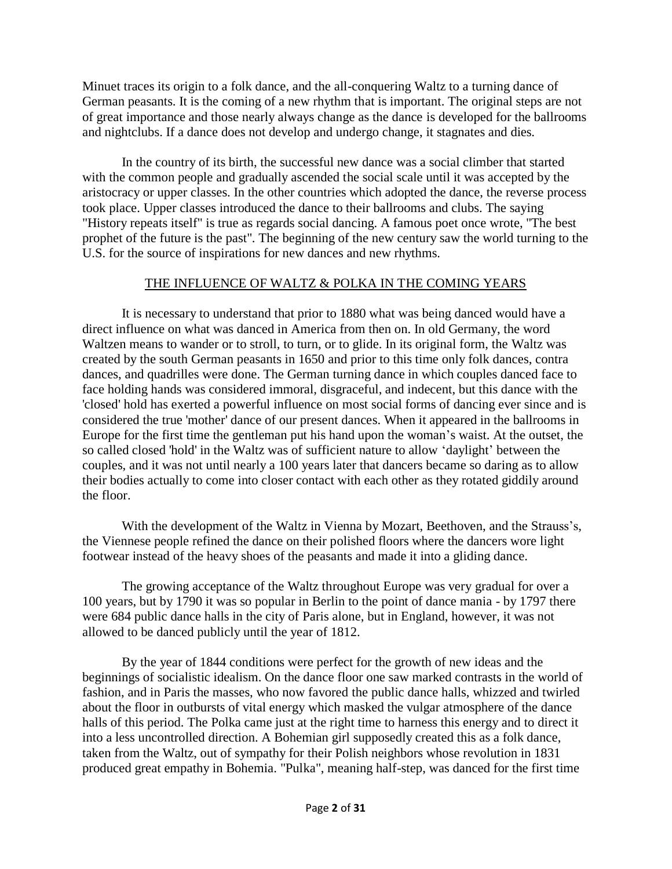Minuet traces its origin to a folk dance, and the all-conquering Waltz to a turning dance of German peasants. It is the coming of a new rhythm that is important. The original steps are not of great importance and those nearly always change as the dance is developed for the ballrooms and nightclubs. If a dance does not develop and undergo change, it stagnates and dies.

In the country of its birth, the successful new dance was a social climber that started with the common people and gradually ascended the social scale until it was accepted by the aristocracy or upper classes. In the other countries which adopted the dance, the reverse process took place. Upper classes introduced the dance to their ballrooms and clubs. The saying "History repeats itself" is true as regards social dancing. A famous poet once wrote, "The best prophet of the future is the past". The beginning of the new century saw the world turning to the U.S. for the source of inspirations for new dances and new rhythms.

## THE INFLUENCE OF WALTZ & POLKA IN THE COMING YEARS

It is necessary to understand that prior to 1880 what was being danced would have a direct influence on what was danced in America from then on. In old Germany, the word Waltzen means to wander or to stroll, to turn, or to glide. In its original form, the Waltz was created by the south German peasants in 1650 and prior to this time only folk dances, contra dances, and quadrilles were done. The German turning dance in which couples danced face to face holding hands was considered immoral, disgraceful, and indecent, but this dance with the 'closed' hold has exerted a powerful influence on most social forms of dancing ever since and is considered the true 'mother' dance of our present dances. When it appeared in the ballrooms in Europe for the first time the gentleman put his hand upon the woman's waist. At the outset, the so called closed 'hold' in the Waltz was of sufficient nature to allow 'daylight' between the couples, and it was not until nearly a 100 years later that dancers became so daring as to allow their bodies actually to come into closer contact with each other as they rotated giddily around the floor.

With the development of the Waltz in Vienna by Mozart, Beethoven, and the Strauss's, the Viennese people refined the dance on their polished floors where the dancers wore light footwear instead of the heavy shoes of the peasants and made it into a gliding dance.

The growing acceptance of the Waltz throughout Europe was very gradual for over a 100 years, but by 1790 it was so popular in Berlin to the point of dance mania - by 1797 there were 684 public dance halls in the city of Paris alone, but in England, however, it was not allowed to be danced publicly until the year of 1812.

By the year of 1844 conditions were perfect for the growth of new ideas and the beginnings of socialistic idealism. On the dance floor one saw marked contrasts in the world of fashion, and in Paris the masses, who now favored the public dance halls, whizzed and twirled about the floor in outbursts of vital energy which masked the vulgar atmosphere of the dance halls of this period. The Polka came just at the right time to harness this energy and to direct it into a less uncontrolled direction. A Bohemian girl supposedly created this as a folk dance, taken from the Waltz, out of sympathy for their Polish neighbors whose revolution in 1831 produced great empathy in Bohemia. "Pulka", meaning half-step, was danced for the first time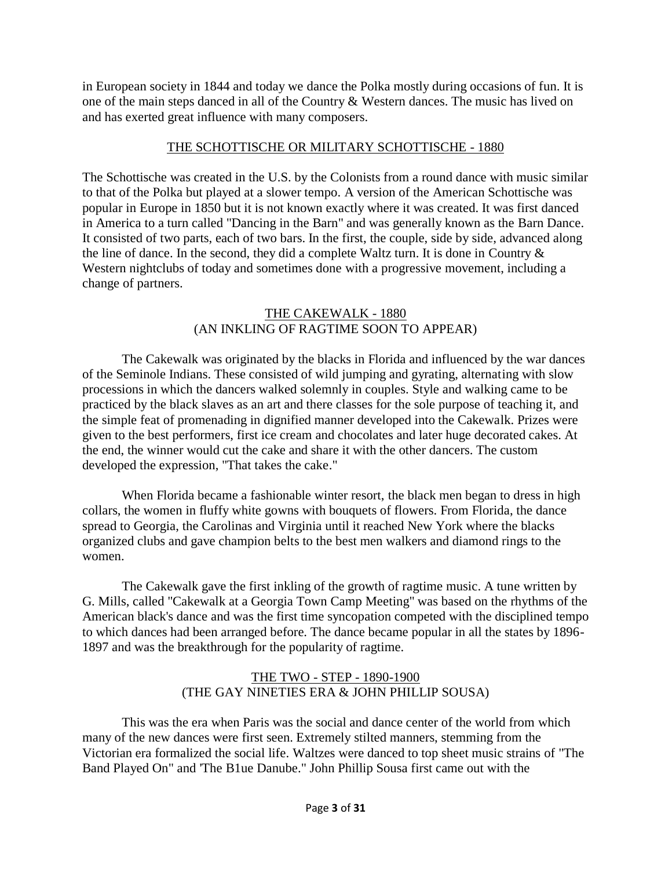in European society in 1844 and today we dance the Polka mostly during occasions of fun. It is one of the main steps danced in all of the Country & Western dances. The music has lived on and has exerted great influence with many composers.

## THE SCHOTTISCHE OR MILITARY SCHOTTISCHE - 1880

The Schottische was created in the U.S. by the Colonists from a round dance with music similar to that of the Polka but played at a slower tempo. A version of the American Schottische was popular in Europe in 1850 but it is not known exactly where it was created. It was first danced in America to a turn called "Dancing in the Barn" and was generally known as the Barn Dance. It consisted of two parts, each of two bars. In the first, the couple, side by side, advanced along the line of dance. In the second, they did a complete Waltz turn. It is done in Country  $\&$ Western nightclubs of today and sometimes done with a progressive movement, including a change of partners.

## THE CAKEWALK - 1880 (AN INKLING OF RAGTIME SOON TO APPEAR)

The Cakewalk was originated by the blacks in Florida and influenced by the war dances of the Seminole Indians. These consisted of wild jumping and gyrating, alternating with slow processions in which the dancers walked solemnly in couples. Style and walking came to be practiced by the black slaves as an art and there classes for the sole purpose of teaching it, and the simple feat of promenading in dignified manner developed into the Cakewalk. Prizes were given to the best performers, first ice cream and chocolates and later huge decorated cakes. At the end, the winner would cut the cake and share it with the other dancers. The custom developed the expression, "That takes the cake."

When Florida became a fashionable winter resort, the black men began to dress in high collars, the women in fluffy white gowns with bouquets of flowers. From Florida, the dance spread to Georgia, the Carolinas and Virginia until it reached New York where the blacks organized clubs and gave champion belts to the best men walkers and diamond rings to the women.

The Cakewalk gave the first inkling of the growth of ragtime music. A tune written by G. Mills, called "Cakewalk at a Georgia Town Camp Meeting" was based on the rhythms of the American black's dance and was the first time syncopation competed with the disciplined tempo to which dances had been arranged before. The dance became popular in all the states by 1896- 1897 and was the breakthrough for the popularity of ragtime.

## THE TWO - STEP - 1890-1900 (THE GAY NINETIES ERA & JOHN PHILLIP SOUSA)

This was the era when Paris was the social and dance center of the world from which many of the new dances were first seen. Extremely stilted manners, stemming from the Victorian era formalized the social life. Waltzes were danced to top sheet music strains of "The Band Played On" and 'The B1ue Danube." John Phillip Sousa first came out with the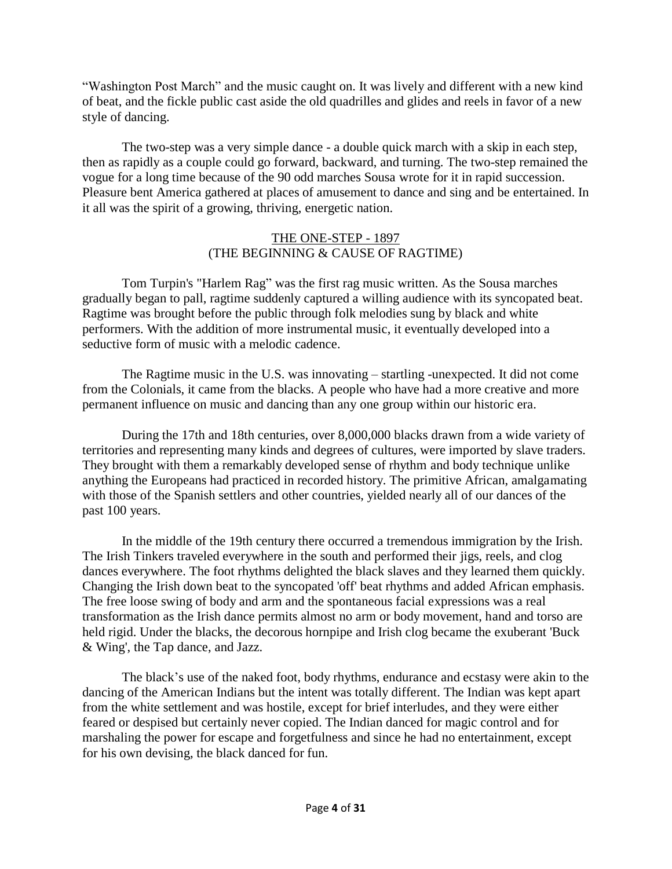"Washington Post March" and the music caught on. It was lively and different with a new kind of beat, and the fickle public cast aside the old quadrilles and glides and reels in favor of a new style of dancing.

The two-step was a very simple dance - a double quick march with a skip in each step, then as rapidly as a couple could go forward, backward, and turning. The two-step remained the vogue for a long time because of the 90 odd marches Sousa wrote for it in rapid succession. Pleasure bent America gathered at places of amusement to dance and sing and be entertained. In it all was the spirit of a growing, thriving, energetic nation.

# THE ONE-STEP - 1897 (THE BEGINNING & CAUSE OF RAGTIME)

Tom Turpin's "Harlem Rag" was the first rag music written. As the Sousa marches gradually began to pall, ragtime suddenly captured a willing audience with its syncopated beat. Ragtime was brought before the public through folk melodies sung by black and white performers. With the addition of more instrumental music, it eventually developed into a seductive form of music with a melodic cadence.

The Ragtime music in the U.S. was innovating – startling -unexpected. It did not come from the Colonials, it came from the blacks. A people who have had a more creative and more permanent influence on music and dancing than any one group within our historic era.

During the 17th and 18th centuries, over 8,000,000 blacks drawn from a wide variety of territories and representing many kinds and degrees of cultures, were imported by slave traders. They brought with them a remarkably developed sense of rhythm and body technique unlike anything the Europeans had practiced in recorded history. The primitive African, amalgamating with those of the Spanish settlers and other countries, yielded nearly all of our dances of the past 100 years.

In the middle of the 19th century there occurred a tremendous immigration by the Irish. The Irish Tinkers traveled everywhere in the south and performed their jigs, reels, and clog dances everywhere. The foot rhythms delighted the black slaves and they learned them quickly. Changing the Irish down beat to the syncopated 'off' beat rhythms and added African emphasis. The free loose swing of body and arm and the spontaneous facial expressions was a real transformation as the Irish dance permits almost no arm or body movement, hand and torso are held rigid. Under the blacks, the decorous hornpipe and Irish clog became the exuberant 'Buck & Wing', the Tap dance, and Jazz.

The black's use of the naked foot, body rhythms, endurance and ecstasy were akin to the dancing of the American Indians but the intent was totally different. The Indian was kept apart from the white settlement and was hostile, except for brief interludes, and they were either feared or despised but certainly never copied. The Indian danced for magic control and for marshaling the power for escape and forgetfulness and since he had no entertainment, except for his own devising, the black danced for fun.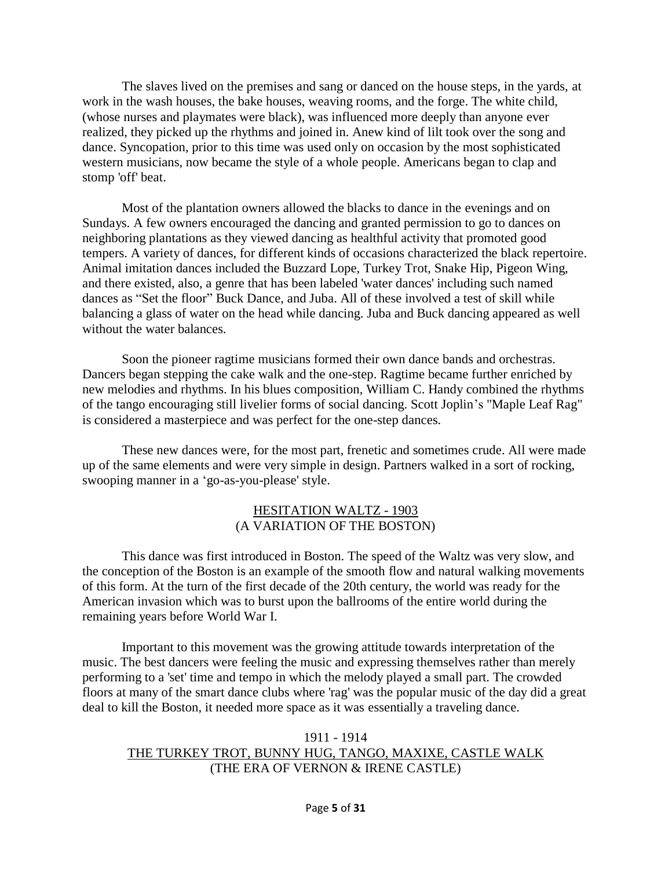The slaves lived on the premises and sang or danced on the house steps, in the yards, at work in the wash houses, the bake houses, weaving rooms, and the forge. The white child, (whose nurses and playmates were black), was influenced more deeply than anyone ever realized, they picked up the rhythms and joined in. Anew kind of lilt took over the song and dance. Syncopation, prior to this time was used only on occasion by the most sophisticated western musicians, now became the style of a whole people. Americans began to clap and stomp 'off' beat.

Most of the plantation owners allowed the blacks to dance in the evenings and on Sundays. A few owners encouraged the dancing and granted permission to go to dances on neighboring plantations as they viewed dancing as healthful activity that promoted good tempers. A variety of dances, for different kinds of occasions characterized the black repertoire. Animal imitation dances included the Buzzard Lope, Turkey Trot, Snake Hip, Pigeon Wing, and there existed, also, a genre that has been labeled 'water dances' including such named dances as "Set the floor" Buck Dance, and Juba. All of these involved a test of skill while balancing a glass of water on the head while dancing. Juba and Buck dancing appeared as well without the water balances.

Soon the pioneer ragtime musicians formed their own dance bands and orchestras. Dancers began stepping the cake walk and the one-step. Ragtime became further enriched by new melodies and rhythms. In his blues composition, William C. Handy combined the rhythms of the tango encouraging still livelier forms of social dancing. Scott Joplin's "Maple Leaf Rag" is considered a masterpiece and was perfect for the one-step dances.

These new dances were, for the most part, frenetic and sometimes crude. All were made up of the same elements and were very simple in design. Partners walked in a sort of rocking, swooping manner in a 'go-as-you-please' style.

#### HESITATION WALTZ - 1903 (A VARIATION OF THE BOSTON)

This dance was first introduced in Boston. The speed of the Waltz was very slow, and the conception of the Boston is an example of the smooth flow and natural walking movements of this form. At the turn of the first decade of the 20th century, the world was ready for the American invasion which was to burst upon the ballrooms of the entire world during the remaining years before World War I.

Important to this movement was the growing attitude towards interpretation of the music. The best dancers were feeling the music and expressing themselves rather than merely performing to a 'set' time and tempo in which the melody played a small part. The crowded floors at many of the smart dance clubs where 'rag' was the popular music of the day did a great deal to kill the Boston, it needed more space as it was essentially a traveling dance.

### 1911 - 1914 THE TURKEY TROT, BUNNY HUG, TANGO, MAXIXE, CASTLE WALK (THE ERA OF VERNON & IRENE CASTLE)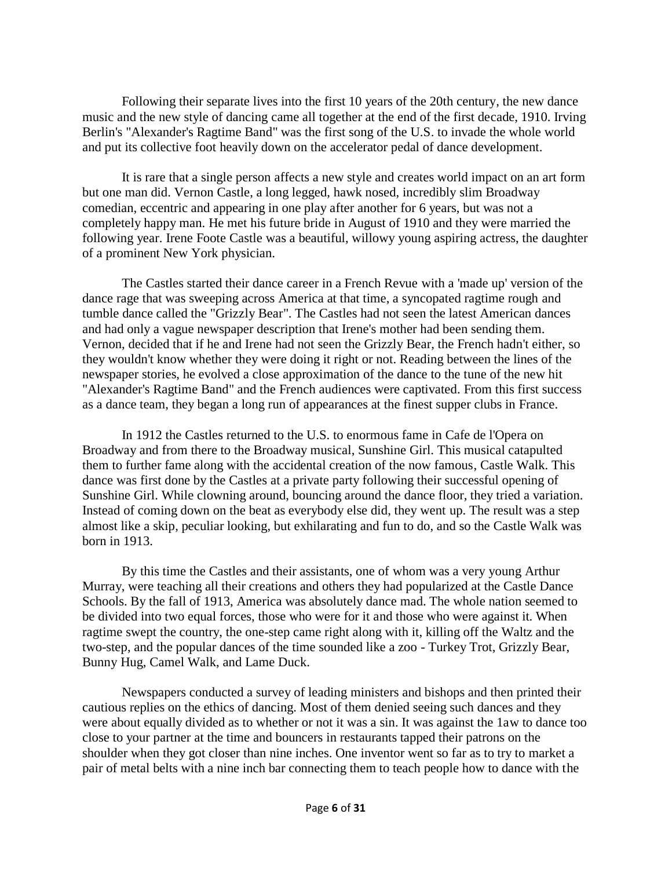Following their separate lives into the first 10 years of the 20th century, the new dance music and the new style of dancing came all together at the end of the first decade, 1910. Irving Berlin's "Alexander's Ragtime Band" was the first song of the U.S. to invade the whole world and put its collective foot heavily down on the accelerator pedal of dance development.

It is rare that a single person affects a new style and creates world impact on an art form but one man did. Vernon Castle, a long legged, hawk nosed, incredibly slim Broadway comedian, eccentric and appearing in one play after another for 6 years, but was not a completely happy man. He met his future bride in August of 1910 and they were married the following year. Irene Foote Castle was a beautiful, willowy young aspiring actress, the daughter of a prominent New York physician.

The Castles started their dance career in a French Revue with a 'made up' version of the dance rage that was sweeping across America at that time, a syncopated ragtime rough and tumble dance called the "Grizzly Bear". The Castles had not seen the latest American dances and had only a vague newspaper description that Irene's mother had been sending them. Vernon, decided that if he and Irene had not seen the Grizzly Bear, the French hadn't either, so they wouldn't know whether they were doing it right or not. Reading between the lines of the newspaper stories, he evolved a close approximation of the dance to the tune of the new hit "Alexander's Ragtime Band" and the French audiences were captivated. From this first success as a dance team, they began a long run of appearances at the finest supper clubs in France.

In 1912 the Castles returned to the U.S. to enormous fame in Cafe de l'Opera on Broadway and from there to the Broadway musical, Sunshine Girl. This musical catapulted them to further fame along with the accidental creation of the now famous, Castle Walk. This dance was first done by the Castles at a private party following their successful opening of Sunshine Girl. While clowning around, bouncing around the dance floor, they tried a variation. Instead of coming down on the beat as everybody else did, they went up. The result was a step almost like a skip, peculiar looking, but exhilarating and fun to do, and so the Castle Walk was born in 1913.

By this time the Castles and their assistants, one of whom was a very young Arthur Murray, were teaching all their creations and others they had popularized at the Castle Dance Schools. By the fall of 1913, America was absolutely dance mad. The whole nation seemed to be divided into two equal forces, those who were for it and those who were against it. When ragtime swept the country, the one-step came right along with it, killing off the Waltz and the two-step, and the popular dances of the time sounded like a zoo - Turkey Trot, Grizzly Bear, Bunny Hug, Camel Walk, and Lame Duck.

Newspapers conducted a survey of leading ministers and bishops and then printed their cautious replies on the ethics of dancing. Most of them denied seeing such dances and they were about equally divided as to whether or not it was a sin. It was against the 1aw to dance too close to your partner at the time and bouncers in restaurants tapped their patrons on the shoulder when they got closer than nine inches. One inventor went so far as to try to market a pair of metal belts with a nine inch bar connecting them to teach people how to dance with the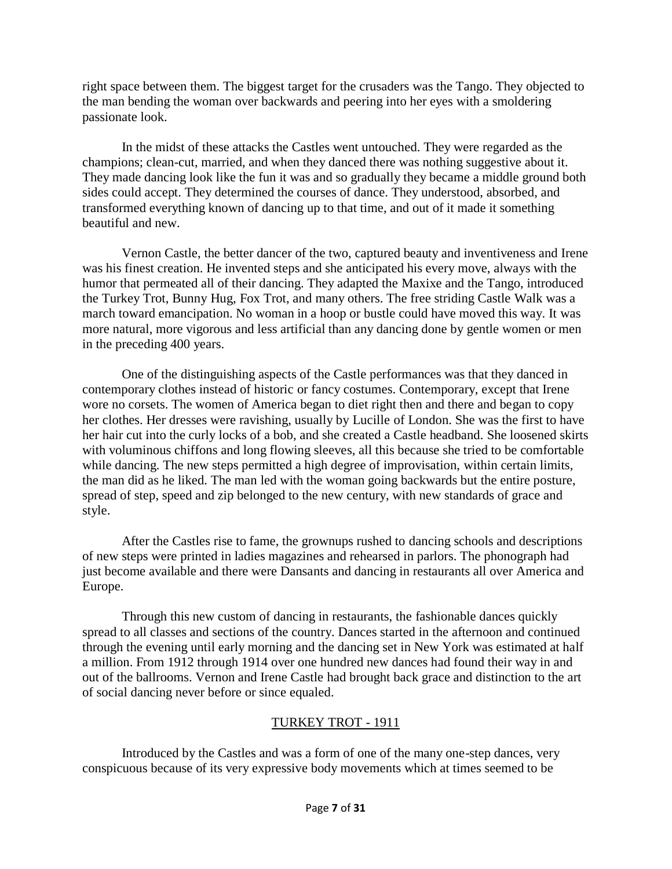right space between them. The biggest target for the crusaders was the Tango. They objected to the man bending the woman over backwards and peering into her eyes with a smoldering passionate look.

In the midst of these attacks the Castles went untouched. They were regarded as the champions; clean-cut, married, and when they danced there was nothing suggestive about it. They made dancing look like the fun it was and so gradually they became a middle ground both sides could accept. They determined the courses of dance. They understood, absorbed, and transformed everything known of dancing up to that time, and out of it made it something beautiful and new.

Vernon Castle, the better dancer of the two, captured beauty and inventiveness and Irene was his finest creation. He invented steps and she anticipated his every move, always with the humor that permeated all of their dancing. They adapted the Maxixe and the Tango, introduced the Turkey Trot, Bunny Hug, Fox Trot, and many others. The free striding Castle Walk was a march toward emancipation. No woman in a hoop or bustle could have moved this way. It was more natural, more vigorous and less artificial than any dancing done by gentle women or men in the preceding 400 years.

One of the distinguishing aspects of the Castle performances was that they danced in contemporary clothes instead of historic or fancy costumes. Contemporary, except that Irene wore no corsets. The women of America began to diet right then and there and began to copy her clothes. Her dresses were ravishing, usually by Lucille of London. She was the first to have her hair cut into the curly locks of a bob, and she created a Castle headband. She loosened skirts with voluminous chiffons and long flowing sleeves, all this because she tried to be comfortable while dancing. The new steps permitted a high degree of improvisation, within certain limits, the man did as he liked. The man led with the woman going backwards but the entire posture, spread of step, speed and zip belonged to the new century, with new standards of grace and style.

After the Castles rise to fame, the grownups rushed to dancing schools and descriptions of new steps were printed in ladies magazines and rehearsed in parlors. The phonograph had just become available and there were Dansants and dancing in restaurants all over America and Europe.

Through this new custom of dancing in restaurants, the fashionable dances quickly spread to all classes and sections of the country. Dances started in the afternoon and continued through the evening until early morning and the dancing set in New York was estimated at half a million. From 1912 through 1914 over one hundred new dances had found their way in and out of the ballrooms. Vernon and Irene Castle had brought back grace and distinction to the art of social dancing never before or since equaled.

## TURKEY TROT - 1911

Introduced by the Castles and was a form of one of the many one-step dances, very conspicuous because of its very expressive body movements which at times seemed to be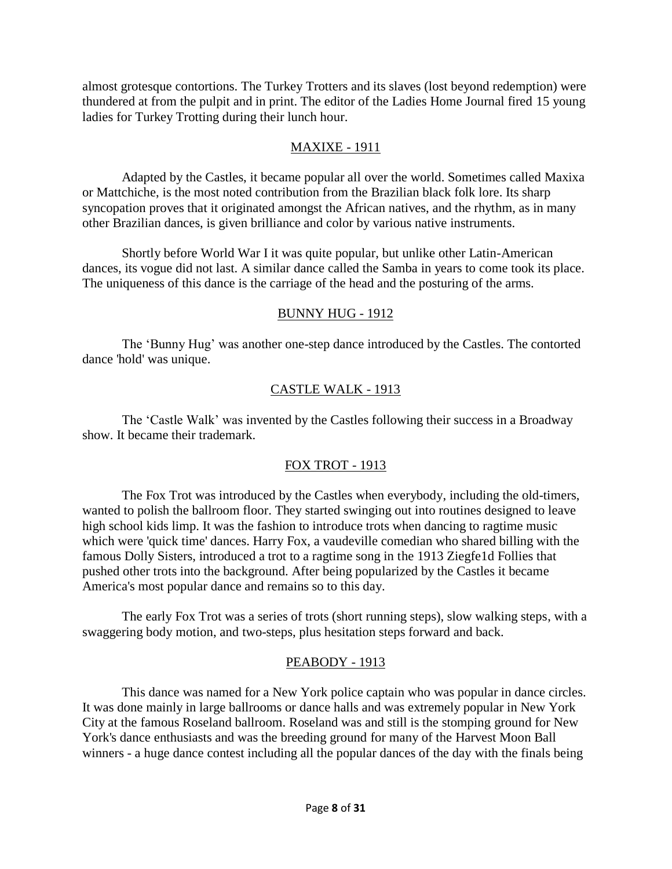almost grotesque contortions. The Turkey Trotters and its slaves (lost beyond redemption) were thundered at from the pulpit and in print. The editor of the Ladies Home Journal fired 15 young ladies for Turkey Trotting during their lunch hour.

### MAXIXE - 1911

Adapted by the Castles, it became popular all over the world. Sometimes called Maxixa or Mattchiche, is the most noted contribution from the Brazilian black folk lore. Its sharp syncopation proves that it originated amongst the African natives, and the rhythm, as in many other Brazilian dances, is given brilliance and color by various native instruments.

Shortly before World War I it was quite popular, but unlike other Latin-American dances, its vogue did not last. A similar dance called the Samba in years to come took its place. The uniqueness of this dance is the carriage of the head and the posturing of the arms.

## BUNNY HUG - 1912

The 'Bunny Hug' was another one-step dance introduced by the Castles. The contorted dance 'hold' was unique.

# CASTLE WALK - 1913

The 'Castle Walk' was invented by the Castles following their success in a Broadway show. It became their trademark.

# FOX TROT - 1913

The Fox Trot was introduced by the Castles when everybody, including the old-timers, wanted to polish the ballroom floor. They started swinging out into routines designed to leave high school kids limp. It was the fashion to introduce trots when dancing to ragtime music which were 'quick time' dances. Harry Fox, a vaudeville comedian who shared billing with the famous Dolly Sisters, introduced a trot to a ragtime song in the 1913 Ziegfe1d Follies that pushed other trots into the background. After being popularized by the Castles it became America's most popular dance and remains so to this day.

The early Fox Trot was a series of trots (short running steps), slow walking steps, with a swaggering body motion, and two-steps, plus hesitation steps forward and back.

# PEABODY - 1913

This dance was named for a New York police captain who was popular in dance circles. It was done mainly in large ballrooms or dance halls and was extremely popular in New York City at the famous Roseland ballroom. Roseland was and still is the stomping ground for New York's dance enthusiasts and was the breeding ground for many of the Harvest Moon Ball winners - a huge dance contest including all the popular dances of the day with the finals being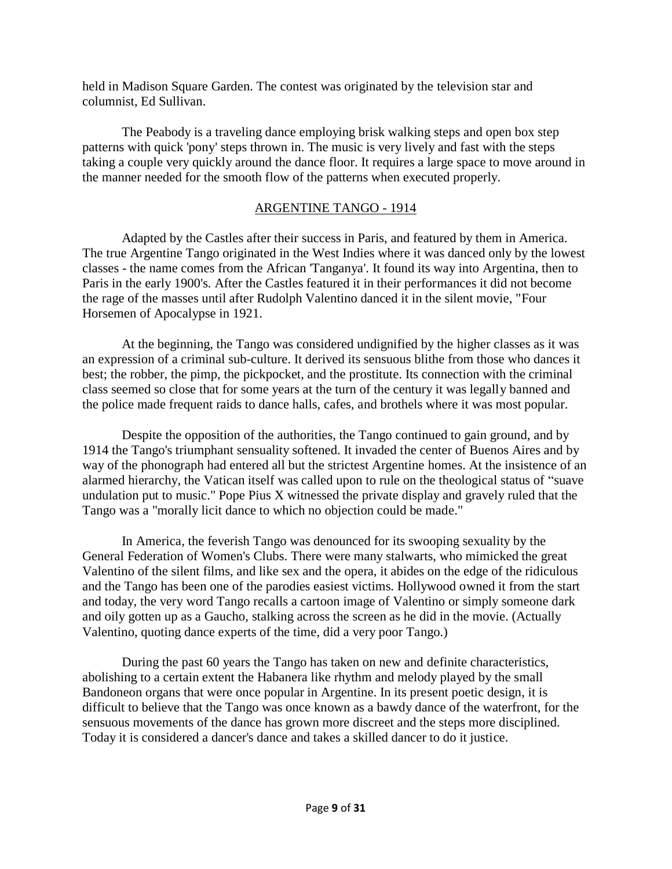held in Madison Square Garden. The contest was originated by the television star and columnist, Ed Sullivan.

The Peabody is a traveling dance employing brisk walking steps and open box step patterns with quick 'pony' steps thrown in. The music is very lively and fast with the steps taking a couple very quickly around the dance floor. It requires a large space to move around in the manner needed for the smooth flow of the patterns when executed properly.

## ARGENTINE TANGO - 1914

Adapted by the Castles after their success in Paris, and featured by them in America. The true Argentine Tango originated in the West Indies where it was danced only by the lowest classes - the name comes from the African 'Tanganya'. It found its way into Argentina, then to Paris in the early 1900's. After the Castles featured it in their performances it did not become the rage of the masses until after Rudolph Valentino danced it in the silent movie, "Four Horsemen of Apocalypse in 1921.

At the beginning, the Tango was considered undignified by the higher classes as it was an expression of a criminal sub-culture. It derived its sensuous blithe from those who dances it best; the robber, the pimp, the pickpocket, and the prostitute. Its connection with the criminal class seemed so close that for some years at the turn of the century it was legally banned and the police made frequent raids to dance halls, cafes, and brothels where it was most popular.

Despite the opposition of the authorities, the Tango continued to gain ground, and by 1914 the Tango's triumphant sensuality softened. It invaded the center of Buenos Aires and by way of the phonograph had entered all but the strictest Argentine homes. At the insistence of an alarmed hierarchy, the Vatican itself was called upon to rule on the theological status of "suave undulation put to music." Pope Pius X witnessed the private display and gravely ruled that the Tango was a "morally licit dance to which no objection could be made."

In America, the feverish Tango was denounced for its swooping sexuality by the General Federation of Women's Clubs. There were many stalwarts, who mimicked the great Valentino of the silent films, and like sex and the opera, it abides on the edge of the ridiculous and the Tango has been one of the parodies easiest victims. Hollywood owned it from the start and today, the very word Tango recalls a cartoon image of Valentino or simply someone dark and oily gotten up as a Gaucho, stalking across the screen as he did in the movie. (Actually Valentino, quoting dance experts of the time, did a very poor Tango.)

During the past 60 years the Tango has taken on new and definite characteristics, abolishing to a certain extent the Habanera like rhythm and melody played by the small Bandoneon organs that were once popular in Argentine. In its present poetic design, it is difficult to believe that the Tango was once known as a bawdy dance of the waterfront, for the sensuous movements of the dance has grown more discreet and the steps more disciplined. Today it is considered a dancer's dance and takes a skilled dancer to do it justice.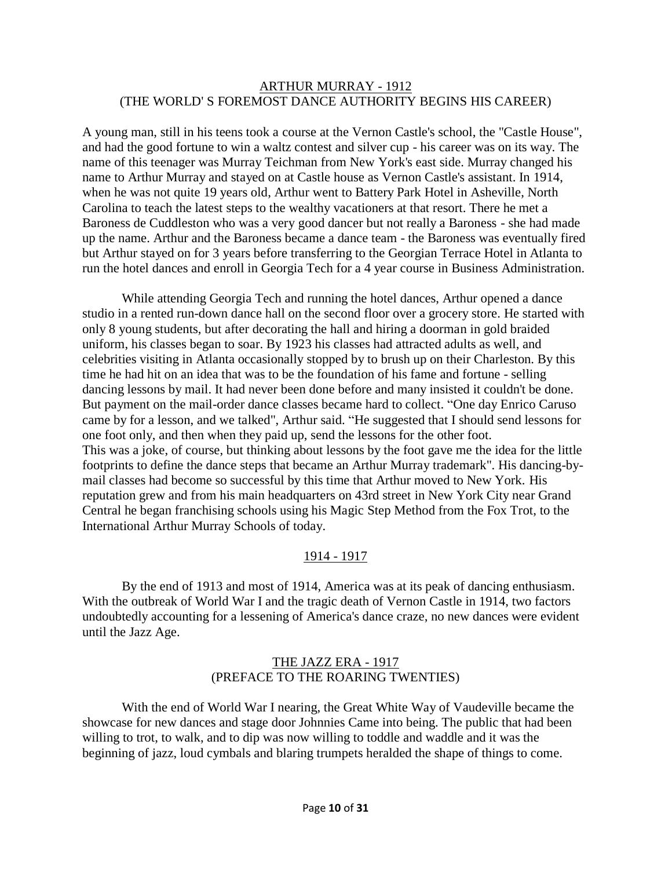#### ARTHUR MURRAY - 1912 (THE WORLD' S FOREMOST DANCE AUTHORITY BEGINS HIS CAREER)

A young man, still in his teens took a course at the Vernon Castle's school, the "Castle House", and had the good fortune to win a waltz contest and silver cup - his career was on its way. The name of this teenager was Murray Teichman from New York's east side. Murray changed his name to Arthur Murray and stayed on at Castle house as Vernon Castle's assistant. In 1914, when he was not quite 19 years old, Arthur went to Battery Park Hotel in Asheville, North Carolina to teach the latest steps to the wealthy vacationers at that resort. There he met a Baroness de Cuddleston who was a very good dancer but not really a Baroness - she had made up the name. Arthur and the Baroness became a dance team - the Baroness was eventually fired but Arthur stayed on for 3 years before transferring to the Georgian Terrace Hotel in Atlanta to run the hotel dances and enroll in Georgia Tech for a 4 year course in Business Administration.

While attending Georgia Tech and running the hotel dances, Arthur opened a dance studio in a rented run-down dance hall on the second floor over a grocery store. He started with only 8 young students, but after decorating the hall and hiring a doorman in gold braided uniform, his classes began to soar. By 1923 his classes had attracted adults as well, and celebrities visiting in Atlanta occasionally stopped by to brush up on their Charleston. By this time he had hit on an idea that was to be the foundation of his fame and fortune - selling dancing lessons by mail. It had never been done before and many insisted it couldn't be done. But payment on the mail-order dance classes became hard to collect. "One day Enrico Caruso came by for a lesson, and we talked", Arthur said. "He suggested that I should send lessons for one foot only, and then when they paid up, send the lessons for the other foot. This was a joke, of course, but thinking about lessons by the foot gave me the idea for the little footprints to define the dance steps that became an Arthur Murray trademark". His dancing-bymail classes had become so successful by this time that Arthur moved to New York. His reputation grew and from his main headquarters on 43rd street in New York City near Grand Central he began franchising schools using his Magic Step Method from the Fox Trot, to the International Arthur Murray Schools of today.

## 1914 - 1917

By the end of 1913 and most of 1914, America was at its peak of dancing enthusiasm. With the outbreak of World War I and the tragic death of Vernon Castle in 1914, two factors undoubtedly accounting for a lessening of America's dance craze, no new dances were evident until the Jazz Age.

## THE JAZZ ERA - 1917 (PREFACE TO THE ROARING TWENTIES)

With the end of World War I nearing, the Great White Way of Vaudeville became the showcase for new dances and stage door Johnnies Came into being. The public that had been willing to trot, to walk, and to dip was now willing to toddle and waddle and it was the beginning of jazz, loud cymbals and blaring trumpets heralded the shape of things to come.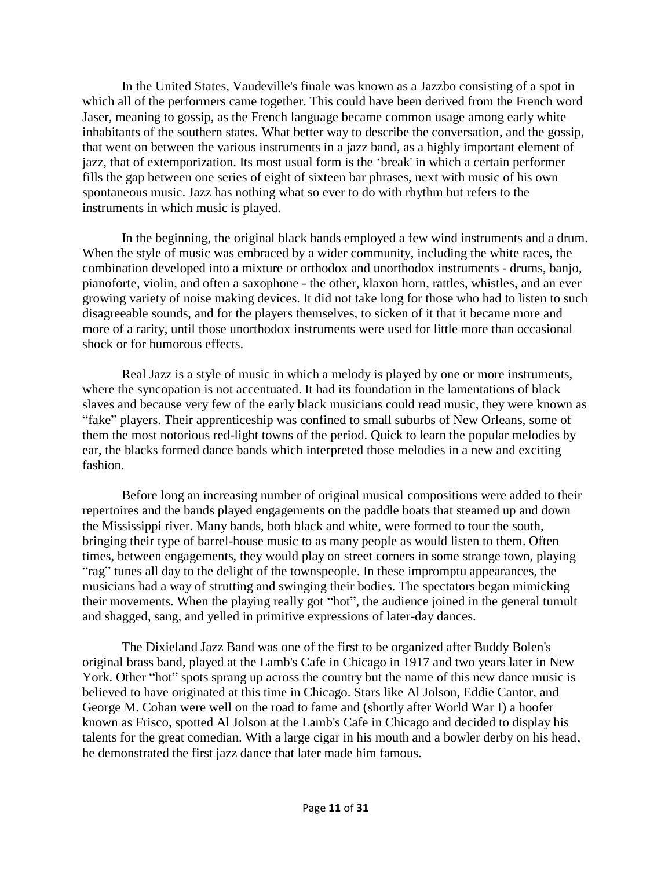In the United States, Vaudeville's finale was known as a Jazzbo consisting of a spot in which all of the performers came together. This could have been derived from the French word Jaser, meaning to gossip, as the French language became common usage among early white inhabitants of the southern states. What better way to describe the conversation, and the gossip, that went on between the various instruments in a jazz band, as a highly important element of jazz, that of extemporization. Its most usual form is the 'break' in which a certain performer fills the gap between one series of eight of sixteen bar phrases, next with music of his own spontaneous music. Jazz has nothing what so ever to do with rhythm but refers to the instruments in which music is played.

In the beginning, the original black bands employed a few wind instruments and a drum. When the style of music was embraced by a wider community, including the white races, the combination developed into a mixture or orthodox and unorthodox instruments - drums, banjo, pianoforte, violin, and often a saxophone - the other, klaxon horn, rattles, whistles, and an ever growing variety of noise making devices. It did not take long for those who had to listen to such disagreeable sounds, and for the players themselves, to sicken of it that it became more and more of a rarity, until those unorthodox instruments were used for little more than occasional shock or for humorous effects.

Real Jazz is a style of music in which a melody is played by one or more instruments, where the syncopation is not accentuated. It had its foundation in the lamentations of black slaves and because very few of the early black musicians could read music, they were known as "fake" players. Their apprenticeship was confined to small suburbs of New Orleans, some of them the most notorious red-light towns of the period. Quick to learn the popular melodies by ear, the blacks formed dance bands which interpreted those melodies in a new and exciting fashion.

Before long an increasing number of original musical compositions were added to their repertoires and the bands played engagements on the paddle boats that steamed up and down the Mississippi river. Many bands, both black and white, were formed to tour the south, bringing their type of barrel-house music to as many people as would listen to them. Often times, between engagements, they would play on street corners in some strange town, playing "rag" tunes all day to the delight of the townspeople. In these impromptu appearances, the musicians had a way of strutting and swinging their bodies. The spectators began mimicking their movements. When the playing really got "hot", the audience joined in the general tumult and shagged, sang, and yelled in primitive expressions of later-day dances.

The Dixieland Jazz Band was one of the first to be organized after Buddy Bolen's original brass band, played at the Lamb's Cafe in Chicago in 1917 and two years later in New York. Other "hot" spots sprang up across the country but the name of this new dance music is believed to have originated at this time in Chicago. Stars like Al Jolson, Eddie Cantor, and George M. Cohan were well on the road to fame and (shortly after World War I) a hoofer known as Frisco, spotted Al Jolson at the Lamb's Cafe in Chicago and decided to display his talents for the great comedian. With a large cigar in his mouth and a bowler derby on his head, he demonstrated the first jazz dance that later made him famous.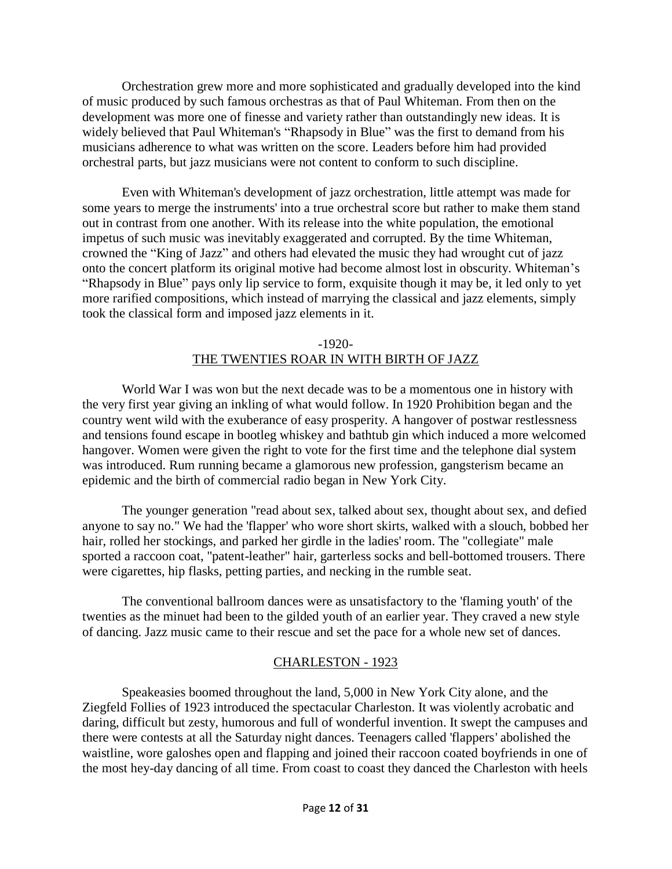Orchestration grew more and more sophisticated and gradually developed into the kind of music produced by such famous orchestras as that of Paul Whiteman. From then on the development was more one of finesse and variety rather than outstandingly new ideas. It is widely believed that Paul Whiteman's "Rhapsody in Blue" was the first to demand from his musicians adherence to what was written on the score. Leaders before him had provided orchestral parts, but jazz musicians were not content to conform to such discipline.

Even with Whiteman's development of jazz orchestration, little attempt was made for some years to merge the instruments' into a true orchestral score but rather to make them stand out in contrast from one another. With its release into the white population, the emotional impetus of such music was inevitably exaggerated and corrupted. By the time Whiteman, crowned the "King of Jazz" and others had elevated the music they had wrought cut of jazz onto the concert platform its original motive had become almost lost in obscurity. Whiteman's "Rhapsody in Blue" pays only lip service to form, exquisite though it may be, it led only to yet more rarified compositions, which instead of marrying the classical and jazz elements, simply took the classical form and imposed jazz elements in it.

### -1920- THE TWENTIES ROAR IN WITH BIRTH OF JAZZ

World War I was won but the next decade was to be a momentous one in history with the very first year giving an inkling of what would follow. In 1920 Prohibition began and the country went wild with the exuberance of easy prosperity. A hangover of postwar restlessness and tensions found escape in bootleg whiskey and bathtub gin which induced a more welcomed hangover. Women were given the right to vote for the first time and the telephone dial system was introduced. Rum running became a glamorous new profession, gangsterism became an epidemic and the birth of commercial radio began in New York City.

The younger generation "read about sex, talked about sex, thought about sex, and defied anyone to say no." We had the 'flapper' who wore short skirts, walked with a slouch, bobbed her hair, rolled her stockings, and parked her girdle in the ladies' room. The "collegiate" male sported a raccoon coat, "patent-leather" hair, garterless socks and bell-bottomed trousers. There were cigarettes, hip flasks, petting parties, and necking in the rumble seat.

The conventional ballroom dances were as unsatisfactory to the 'flaming youth' of the twenties as the minuet had been to the gilded youth of an earlier year. They craved a new style of dancing. Jazz music came to their rescue and set the pace for a whole new set of dances.

## CHARLESTON - 1923

Speakeasies boomed throughout the land, 5,000 in New York City alone, and the Ziegfeld Follies of 1923 introduced the spectacular Charleston. It was violently acrobatic and daring, difficult but zesty, humorous and full of wonderful invention. It swept the campuses and there were contests at all the Saturday night dances. Teenagers called 'flappers' abolished the waistline, wore galoshes open and flapping and joined their raccoon coated boyfriends in one of the most hey-day dancing of all time. From coast to coast they danced the Charleston with heels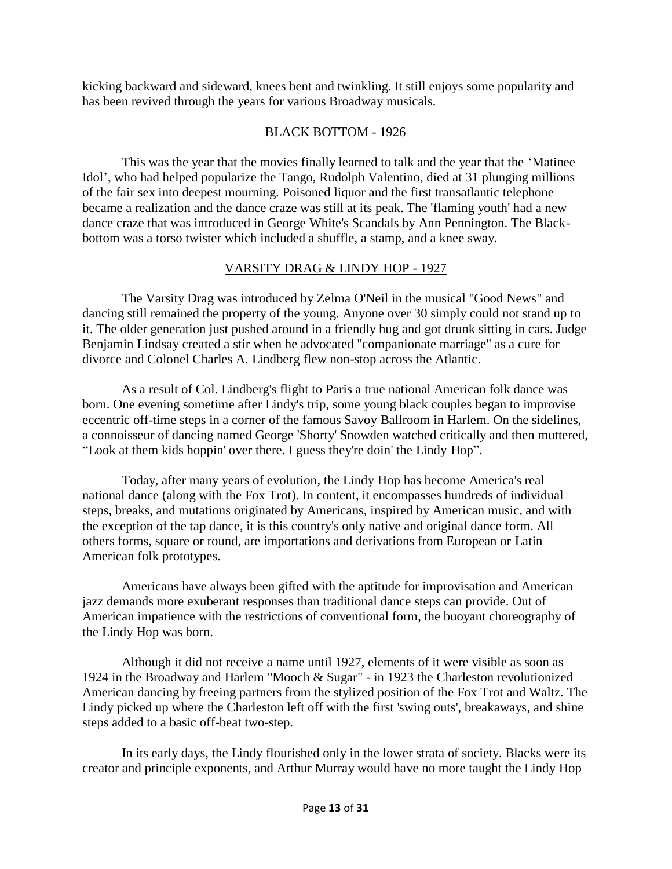kicking backward and sideward, knees bent and twinkling. It still enjoys some popularity and has been revived through the years for various Broadway musicals.

# BLACK BOTTOM - 1926

This was the year that the movies finally learned to talk and the year that the 'Matinee Idol', who had helped popularize the Tango, Rudolph Valentino, died at 31 plunging millions of the fair sex into deepest mourning. Poisoned liquor and the first transatlantic telephone became a realization and the dance craze was still at its peak. The 'flaming youth' had a new dance craze that was introduced in George White's Scandals by Ann Pennington. The Blackbottom was a torso twister which included a shuffle, a stamp, and a knee sway.

# VARSITY DRAG & LINDY HOP - 1927

The Varsity Drag was introduced by Zelma O'Neil in the musical "Good News" and dancing still remained the property of the young. Anyone over 30 simply could not stand up to it. The older generation just pushed around in a friendly hug and got drunk sitting in cars. Judge Benjamin Lindsay created a stir when he advocated "companionate marriage" as a cure for divorce and Colonel Charles A. Lindberg flew non-stop across the Atlantic.

As a result of Col. Lindberg's flight to Paris a true national American folk dance was born. One evening sometime after Lindy's trip, some young black couples began to improvise eccentric off-time steps in a corner of the famous Savoy Ballroom in Harlem. On the sidelines, a connoisseur of dancing named George 'Shorty' Snowden watched critically and then muttered, "Look at them kids hoppin' over there. I guess they're doin' the Lindy Hop".

Today, after many years of evolution, the Lindy Hop has become America's real national dance (along with the Fox Trot). In content, it encompasses hundreds of individual steps, breaks, and mutations originated by Americans, inspired by American music, and with the exception of the tap dance, it is this country's only native and original dance form. All others forms, square or round, are importations and derivations from European or Latin American folk prototypes.

Americans have always been gifted with the aptitude for improvisation and American jazz demands more exuberant responses than traditional dance steps can provide. Out of American impatience with the restrictions of conventional form, the buoyant choreography of the Lindy Hop was born.

Although it did not receive a name until 1927, elements of it were visible as soon as 1924 in the Broadway and Harlem "Mooch & Sugar" - in 1923 the Charleston revolutionized American dancing by freeing partners from the stylized position of the Fox Trot and Waltz. The Lindy picked up where the Charleston left off with the first 'swing outs', breakaways, and shine steps added to a basic off-beat two-step.

In its early days, the Lindy flourished only in the lower strata of society. Blacks were its creator and principle exponents, and Arthur Murray would have no more taught the Lindy Hop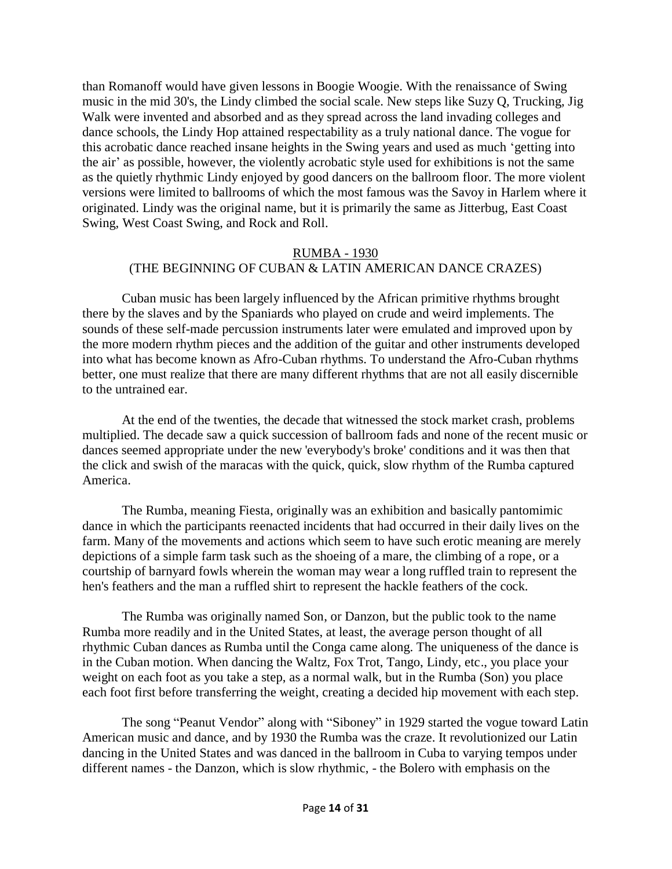than Romanoff would have given lessons in Boogie Woogie. With the renaissance of Swing music in the mid 30's, the Lindy climbed the social scale. New steps like Suzy Q, Trucking, Jig Walk were invented and absorbed and as they spread across the land invading colleges and dance schools, the Lindy Hop attained respectability as a truly national dance. The vogue for this acrobatic dance reached insane heights in the Swing years and used as much 'getting into the air' as possible, however, the violently acrobatic style used for exhibitions is not the same as the quietly rhythmic Lindy enjoyed by good dancers on the ballroom floor. The more violent versions were limited to ballrooms of which the most famous was the Savoy in Harlem where it originated. Lindy was the original name, but it is primarily the same as Jitterbug, East Coast Swing, West Coast Swing, and Rock and Roll.

### RUMBA - 1930 (THE BEGINNING OF CUBAN & LATIN AMERICAN DANCE CRAZES)

Cuban music has been largely influenced by the African primitive rhythms brought there by the slaves and by the Spaniards who played on crude and weird implements. The sounds of these self-made percussion instruments later were emulated and improved upon by the more modern rhythm pieces and the addition of the guitar and other instruments developed into what has become known as Afro-Cuban rhythms. To understand the Afro-Cuban rhythms better, one must realize that there are many different rhythms that are not all easily discernible to the untrained ear.

At the end of the twenties, the decade that witnessed the stock market crash, problems multiplied. The decade saw a quick succession of ballroom fads and none of the recent music or dances seemed appropriate under the new 'everybody's broke' conditions and it was then that the click and swish of the maracas with the quick, quick, slow rhythm of the Rumba captured America.

The Rumba, meaning Fiesta, originally was an exhibition and basically pantomimic dance in which the participants reenacted incidents that had occurred in their daily lives on the farm. Many of the movements and actions which seem to have such erotic meaning are merely depictions of a simple farm task such as the shoeing of a mare, the climbing of a rope, or a courtship of barnyard fowls wherein the woman may wear a long ruffled train to represent the hen's feathers and the man a ruffled shirt to represent the hackle feathers of the cock.

The Rumba was originally named Son, or Danzon, but the public took to the name Rumba more readily and in the United States, at least, the average person thought of all rhythmic Cuban dances as Rumba until the Conga came along. The uniqueness of the dance is in the Cuban motion. When dancing the Waltz, Fox Trot, Tango, Lindy, etc., you place your weight on each foot as you take a step, as a normal walk, but in the Rumba (Son) you place each foot first before transferring the weight, creating a decided hip movement with each step.

The song "Peanut Vendor" along with "Siboney" in 1929 started the vogue toward Latin American music and dance, and by 1930 the Rumba was the craze. It revolutionized our Latin dancing in the United States and was danced in the ballroom in Cuba to varying tempos under different names - the Danzon, which is slow rhythmic, - the Bolero with emphasis on the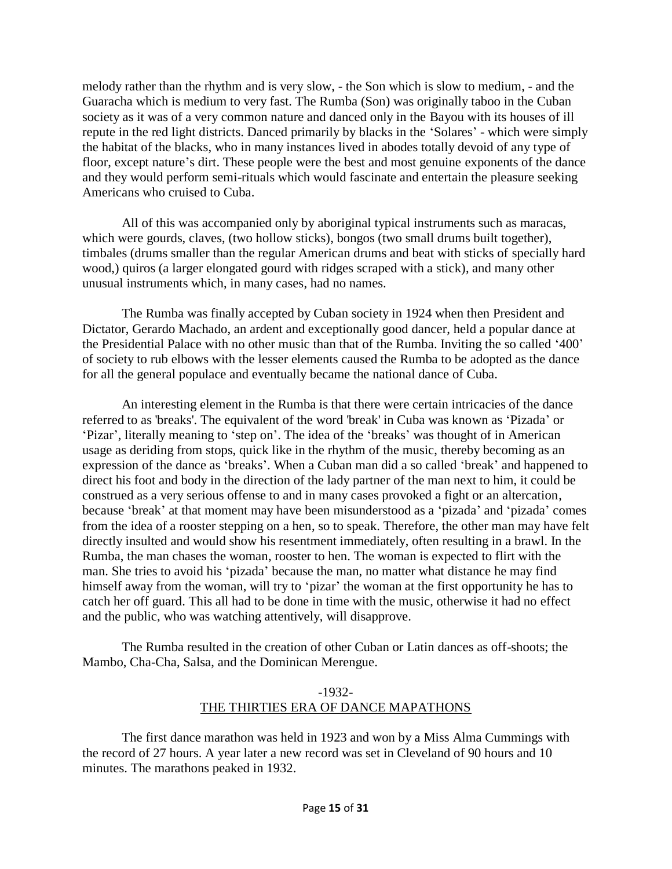melody rather than the rhythm and is very slow, - the Son which is slow to medium, - and the Guaracha which is medium to very fast. The Rumba (Son) was originally taboo in the Cuban society as it was of a very common nature and danced only in the Bayou with its houses of ill repute in the red light districts. Danced primarily by blacks in the 'Solares' - which were simply the habitat of the blacks, who in many instances lived in abodes totally devoid of any type of floor, except nature's dirt. These people were the best and most genuine exponents of the dance and they would perform semi-rituals which would fascinate and entertain the pleasure seeking Americans who cruised to Cuba.

All of this was accompanied only by aboriginal typical instruments such as maracas, which were gourds, claves, (two hollow sticks), bongos (two small drums built together), timbales (drums smaller than the regular American drums and beat with sticks of specially hard wood,) quiros (a larger elongated gourd with ridges scraped with a stick), and many other unusual instruments which, in many cases, had no names.

The Rumba was finally accepted by Cuban society in 1924 when then President and Dictator, Gerardo Machado, an ardent and exceptionally good dancer, held a popular dance at the Presidential Palace with no other music than that of the Rumba. Inviting the so called '400' of society to rub elbows with the lesser elements caused the Rumba to be adopted as the dance for all the general populace and eventually became the national dance of Cuba.

An interesting element in the Rumba is that there were certain intricacies of the dance referred to as 'breaks'. The equivalent of the word 'break' in Cuba was known as 'Pizada' or 'Pizar', literally meaning to 'step on'. The idea of the 'breaks' was thought of in American usage as deriding from stops, quick like in the rhythm of the music, thereby becoming as an expression of the dance as 'breaks'. When a Cuban man did a so called 'break' and happened to direct his foot and body in the direction of the lady partner of the man next to him, it could be construed as a very serious offense to and in many cases provoked a fight or an altercation, because 'break' at that moment may have been misunderstood as a 'pizada' and 'pizada' comes from the idea of a rooster stepping on a hen, so to speak. Therefore, the other man may have felt directly insulted and would show his resentment immediately, often resulting in a brawl. In the Rumba, the man chases the woman, rooster to hen. The woman is expected to flirt with the man. She tries to avoid his 'pizada' because the man, no matter what distance he may find himself away from the woman, will try to 'pizar' the woman at the first opportunity he has to catch her off guard. This all had to be done in time with the music, otherwise it had no effect and the public, who was watching attentively, will disapprove.

The Rumba resulted in the creation of other Cuban or Latin dances as off-shoots; the Mambo, Cha-Cha, Salsa, and the Dominican Merengue.

## -1932- THE THIRTIES ERA OF DANCE MAPATHONS

The first dance marathon was held in 1923 and won by a Miss Alma Cummings with the record of 27 hours. A year later a new record was set in Cleveland of 90 hours and 10 minutes. The marathons peaked in 1932.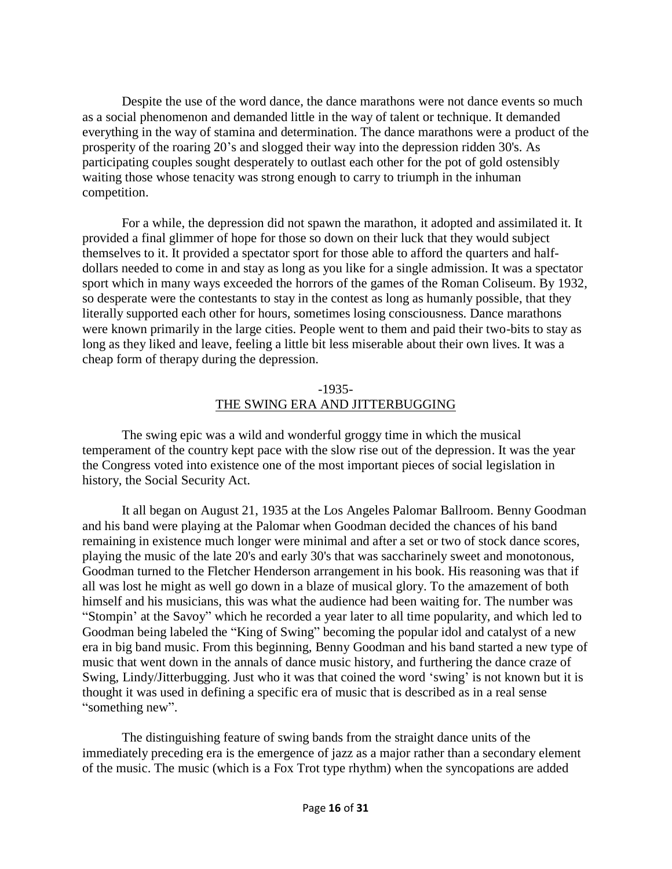Despite the use of the word dance, the dance marathons were not dance events so much as a social phenomenon and demanded little in the way of talent or technique. It demanded everything in the way of stamina and determination. The dance marathons were a product of the prosperity of the roaring 20's and slogged their way into the depression ridden 30's. As participating couples sought desperately to outlast each other for the pot of gold ostensibly waiting those whose tenacity was strong enough to carry to triumph in the inhuman competition.

For a while, the depression did not spawn the marathon, it adopted and assimilated it. It provided a final glimmer of hope for those so down on their luck that they would subject themselves to it. It provided a spectator sport for those able to afford the quarters and halfdollars needed to come in and stay as long as you like for a single admission. It was a spectator sport which in many ways exceeded the horrors of the games of the Roman Coliseum. By 1932, so desperate were the contestants to stay in the contest as long as humanly possible, that they literally supported each other for hours, sometimes losing consciousness. Dance marathons were known primarily in the large cities. People went to them and paid their two-bits to stay as long as they liked and leave, feeling a little bit less miserable about their own lives. It was a cheap form of therapy during the depression.

#### -1935- THE SWING ERA AND JITTERBUGGING

The swing epic was a wild and wonderful groggy time in which the musical temperament of the country kept pace with the slow rise out of the depression. It was the year the Congress voted into existence one of the most important pieces of social legislation in history, the Social Security Act.

It all began on August 21, 1935 at the Los Angeles Palomar Ballroom. Benny Goodman and his band were playing at the Palomar when Goodman decided the chances of his band remaining in existence much longer were minimal and after a set or two of stock dance scores, playing the music of the late 20's and early 30's that was saccharinely sweet and monotonous, Goodman turned to the Fletcher Henderson arrangement in his book. His reasoning was that if all was lost he might as well go down in a blaze of musical glory. To the amazement of both himself and his musicians, this was what the audience had been waiting for. The number was "Stompin' at the Savoy" which he recorded a year later to all time popularity, and which led to Goodman being labeled the "King of Swing" becoming the popular idol and catalyst of a new era in big band music. From this beginning, Benny Goodman and his band started a new type of music that went down in the annals of dance music history, and furthering the dance craze of Swing, Lindy/Jitterbugging. Just who it was that coined the word 'swing' is not known but it is thought it was used in defining a specific era of music that is described as in a real sense "something new".

The distinguishing feature of swing bands from the straight dance units of the immediately preceding era is the emergence of jazz as a major rather than a secondary element of the music. The music (which is a Fox Trot type rhythm) when the syncopations are added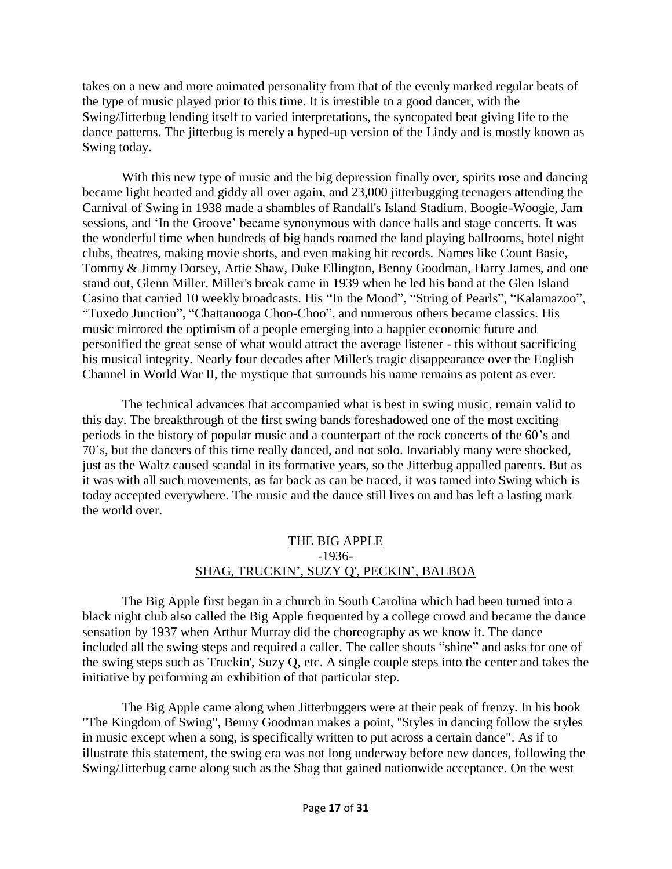takes on a new and more animated personality from that of the evenly marked regular beats of the type of music played prior to this time. It is irrestible to a good dancer, with the Swing/Jitterbug lending itself to varied interpretations, the syncopated beat giving life to the dance patterns. The jitterbug is merely a hyped-up version of the Lindy and is mostly known as Swing today.

With this new type of music and the big depression finally over, spirits rose and dancing became light hearted and giddy all over again, and 23,000 jitterbugging teenagers attending the Carnival of Swing in 1938 made a shambles of Randall's Island Stadium. Boogie-Woogie, Jam sessions, and 'In the Groove' became synonymous with dance halls and stage concerts. It was the wonderful time when hundreds of big bands roamed the land playing ballrooms, hotel night clubs, theatres, making movie shorts, and even making hit records. Names like Count Basie, Tommy & Jimmy Dorsey, Artie Shaw, Duke Ellington, Benny Goodman, Harry James, and one stand out, Glenn Miller. Miller's break came in 1939 when he led his band at the Glen Island Casino that carried 10 weekly broadcasts. His "In the Mood", "String of Pearls", "Kalamazoo", "Tuxedo Junction", "Chattanooga Choo-Choo", and numerous others became classics. His music mirrored the optimism of a people emerging into a happier economic future and personified the great sense of what would attract the average listener - this without sacrificing his musical integrity. Nearly four decades after Miller's tragic disappearance over the English Channel in World War II, the mystique that surrounds his name remains as potent as ever.

The technical advances that accompanied what is best in swing music, remain valid to this day. The breakthrough of the first swing bands foreshadowed one of the most exciting periods in the history of popular music and a counterpart of the rock concerts of the 60's and 70's, but the dancers of this time really danced, and not solo. Invariably many were shocked, just as the Waltz caused scandal in its formative years, so the Jitterbug appalled parents. But as it was with all such movements, as far back as can be traced, it was tamed into Swing which is today accepted everywhere. The music and the dance still lives on and has left a lasting mark the world over.

## THE BIG APPLE -1936- SHAG, TRUCKIN', SUZY Q', PECKIN', BALBOA

The Big Apple first began in a church in South Carolina which had been turned into a black night club also called the Big Apple frequented by a college crowd and became the dance sensation by 1937 when Arthur Murray did the choreography as we know it. The dance included all the swing steps and required a caller. The caller shouts "shine" and asks for one of the swing steps such as Truckin', Suzy Q, etc. A single couple steps into the center and takes the initiative by performing an exhibition of that particular step.

The Big Apple came along when Jitterbuggers were at their peak of frenzy. In his book "The Kingdom of Swing", Benny Goodman makes a point, "Styles in dancing follow the styles in music except when a song, is specifically written to put across a certain dance". As if to illustrate this statement, the swing era was not long underway before new dances, following the Swing/Jitterbug came along such as the Shag that gained nationwide acceptance. On the west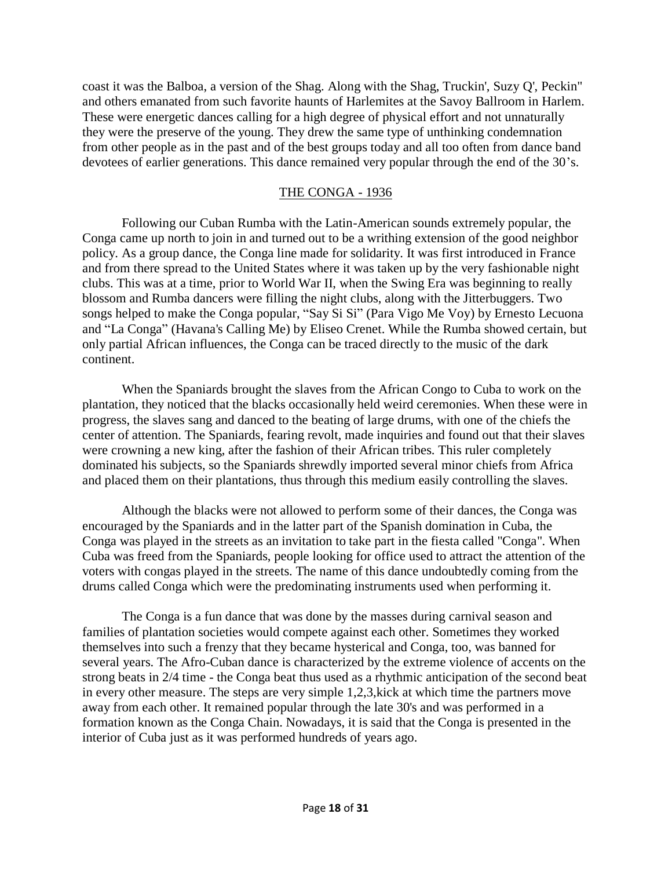coast it was the Balboa, a version of the Shag. Along with the Shag, Truckin', Suzy Q', Peckin" and others emanated from such favorite haunts of Harlemites at the Savoy Ballroom in Harlem. These were energetic dances calling for a high degree of physical effort and not unnaturally they were the preserve of the young. They drew the same type of unthinking condemnation from other people as in the past and of the best groups today and all too often from dance band devotees of earlier generations. This dance remained very popular through the end of the 30's.

### THE CONGA - 1936

Following our Cuban Rumba with the Latin-American sounds extremely popular, the Conga came up north to join in and turned out to be a writhing extension of the good neighbor policy. As a group dance, the Conga line made for solidarity. It was first introduced in France and from there spread to the United States where it was taken up by the very fashionable night clubs. This was at a time, prior to World War II, when the Swing Era was beginning to really blossom and Rumba dancers were filling the night clubs, along with the Jitterbuggers. Two songs helped to make the Conga popular, "Say Si Si" (Para Vigo Me Voy) by Ernesto Lecuona and "La Conga" (Havana's Calling Me) by Eliseo Crenet. While the Rumba showed certain, but only partial African influences, the Conga can be traced directly to the music of the dark continent.

When the Spaniards brought the slaves from the African Congo to Cuba to work on the plantation, they noticed that the blacks occasionally held weird ceremonies. When these were in progress, the slaves sang and danced to the beating of large drums, with one of the chiefs the center of attention. The Spaniards, fearing revolt, made inquiries and found out that their slaves were crowning a new king, after the fashion of their African tribes. This ruler completely dominated his subjects, so the Spaniards shrewdly imported several minor chiefs from Africa and placed them on their plantations, thus through this medium easily controlling the slaves.

Although the blacks were not allowed to perform some of their dances, the Conga was encouraged by the Spaniards and in the latter part of the Spanish domination in Cuba, the Conga was played in the streets as an invitation to take part in the fiesta called "Conga". When Cuba was freed from the Spaniards, people looking for office used to attract the attention of the voters with congas played in the streets. The name of this dance undoubtedly coming from the drums called Conga which were the predominating instruments used when performing it.

The Conga is a fun dance that was done by the masses during carnival season and families of plantation societies would compete against each other. Sometimes they worked themselves into such a frenzy that they became hysterical and Conga, too, was banned for several years. The Afro-Cuban dance is characterized by the extreme violence of accents on the strong beats in 2/4 time - the Conga beat thus used as a rhythmic anticipation of the second beat in every other measure. The steps are very simple 1,2,3,kick at which time the partners move away from each other. It remained popular through the late 30's and was performed in a formation known as the Conga Chain. Nowadays, it is said that the Conga is presented in the interior of Cuba just as it was performed hundreds of years ago.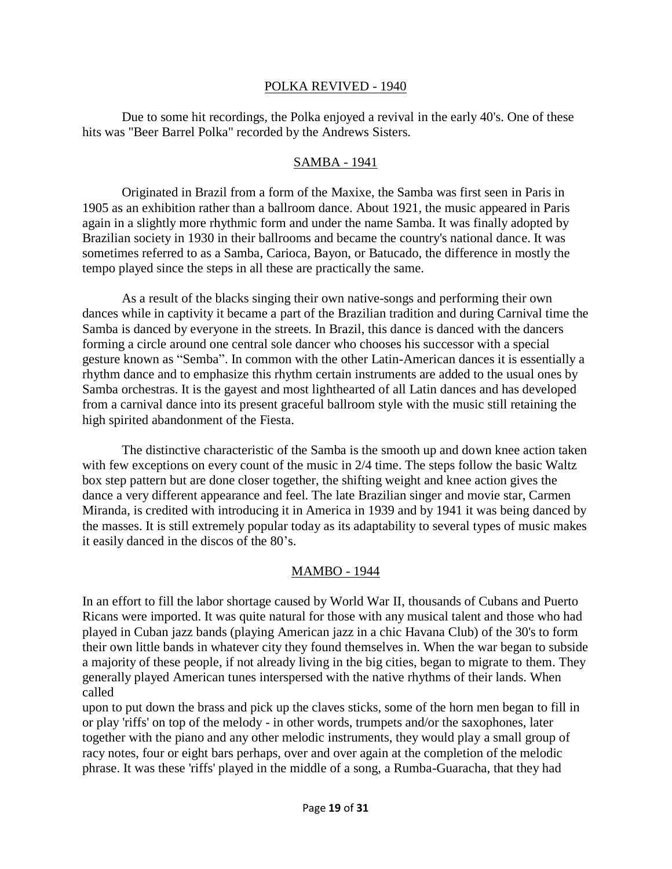#### POLKA REVIVED - 1940

Due to some hit recordings, the Polka enjoyed a revival in the early 40's. One of these hits was "Beer Barrel Polka" recorded by the Andrews Sisters.

#### SAMBA - 1941

Originated in Brazil from a form of the Maxixe, the Samba was first seen in Paris in 1905 as an exhibition rather than a ballroom dance. About 1921, the music appeared in Paris again in a slightly more rhythmic form and under the name Samba. It was finally adopted by Brazilian society in 1930 in their ballrooms and became the country's national dance. It was sometimes referred to as a Samba, Carioca, Bayon, or Batucado, the difference in mostly the tempo played since the steps in all these are practically the same.

As a result of the blacks singing their own native-songs and performing their own dances while in captivity it became a part of the Brazilian tradition and during Carnival time the Samba is danced by everyone in the streets. In Brazil, this dance is danced with the dancers forming a circle around one central sole dancer who chooses his successor with a special gesture known as "Semba". In common with the other Latin-American dances it is essentially a rhythm dance and to emphasize this rhythm certain instruments are added to the usual ones by Samba orchestras. It is the gayest and most lighthearted of all Latin dances and has developed from a carnival dance into its present graceful ballroom style with the music still retaining the high spirited abandonment of the Fiesta.

The distinctive characteristic of the Samba is the smooth up and down knee action taken with few exceptions on every count of the music in 2/4 time. The steps follow the basic Waltz box step pattern but are done closer together, the shifting weight and knee action gives the dance a very different appearance and feel. The late Brazilian singer and movie star, Carmen Miranda, is credited with introducing it in America in 1939 and by 1941 it was being danced by the masses. It is still extremely popular today as its adaptability to several types of music makes it easily danced in the discos of the 80's.

#### MAMBO - 1944

In an effort to fill the labor shortage caused by World War II, thousands of Cubans and Puerto Ricans were imported. It was quite natural for those with any musical talent and those who had played in Cuban jazz bands (playing American jazz in a chic Havana Club) of the 30's to form their own little bands in whatever city they found themselves in. When the war began to subside a majority of these people, if not already living in the big cities, began to migrate to them. They generally played American tunes interspersed with the native rhythms of their lands. When called

upon to put down the brass and pick up the claves sticks, some of the horn men began to fill in or play 'riffs' on top of the melody - in other words, trumpets and/or the saxophones, later together with the piano and any other melodic instruments, they would play a small group of racy notes, four or eight bars perhaps, over and over again at the completion of the melodic phrase. It was these 'riffs' played in the middle of a song, a Rumba-Guaracha, that they had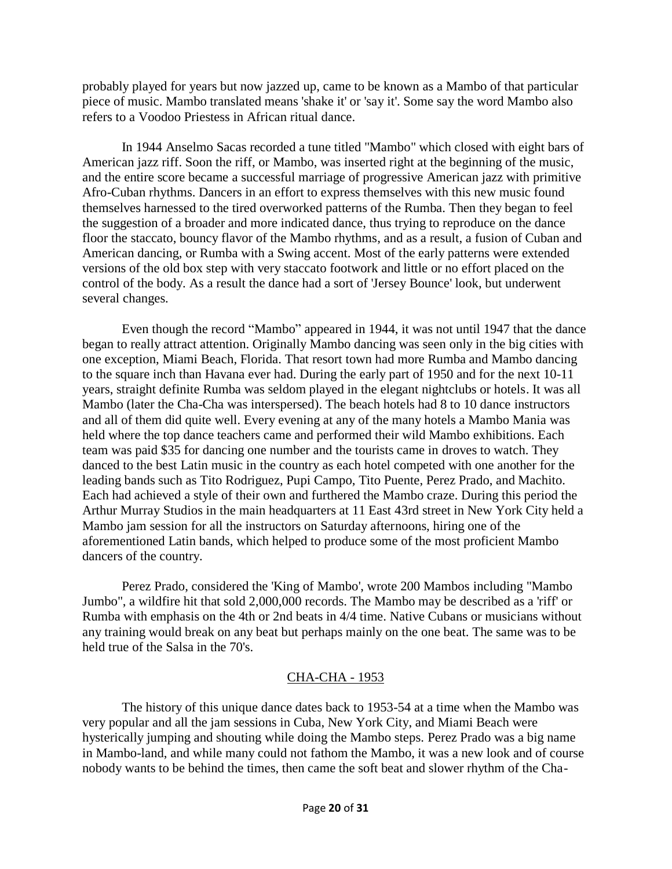probably played for years but now jazzed up, came to be known as a Mambo of that particular piece of music. Mambo translated means 'shake it' or 'say it'. Some say the word Mambo also refers to a Voodoo Priestess in African ritual dance.

In 1944 Anselmo Sacas recorded a tune titled "Mambo" which closed with eight bars of American jazz riff. Soon the riff, or Mambo, was inserted right at the beginning of the music, and the entire score became a successful marriage of progressive American jazz with primitive Afro-Cuban rhythms. Dancers in an effort to express themselves with this new music found themselves harnessed to the tired overworked patterns of the Rumba. Then they began to feel the suggestion of a broader and more indicated dance, thus trying to reproduce on the dance floor the staccato, bouncy flavor of the Mambo rhythms, and as a result, a fusion of Cuban and American dancing, or Rumba with a Swing accent. Most of the early patterns were extended versions of the old box step with very staccato footwork and little or no effort placed on the control of the body. As a result the dance had a sort of 'Jersey Bounce' look, but underwent several changes.

Even though the record "Mambo" appeared in 1944, it was not until 1947 that the dance began to really attract attention. Originally Mambo dancing was seen only in the big cities with one exception, Miami Beach, Florida. That resort town had more Rumba and Mambo dancing to the square inch than Havana ever had. During the early part of 1950 and for the next 10-11 years, straight definite Rumba was seldom played in the elegant nightclubs or hotels. It was all Mambo (later the Cha-Cha was interspersed). The beach hotels had 8 to 10 dance instructors and all of them did quite well. Every evening at any of the many hotels a Mambo Mania was held where the top dance teachers came and performed their wild Mambo exhibitions. Each team was paid \$35 for dancing one number and the tourists came in droves to watch. They danced to the best Latin music in the country as each hotel competed with one another for the leading bands such as Tito Rodriguez, Pupi Campo, Tito Puente, Perez Prado, and Machito. Each had achieved a style of their own and furthered the Mambo craze. During this period the Arthur Murray Studios in the main headquarters at 11 East 43rd street in New York City held a Mambo jam session for all the instructors on Saturday afternoons, hiring one of the aforementioned Latin bands, which helped to produce some of the most proficient Mambo dancers of the country.

Perez Prado, considered the 'King of Mambo', wrote 200 Mambos including "Mambo Jumbo", a wildfire hit that sold 2,000,000 records. The Mambo may be described as a 'riff' or Rumba with emphasis on the 4th or 2nd beats in 4/4 time. Native Cubans or musicians without any training would break on any beat but perhaps mainly on the one beat. The same was to be held true of the Salsa in the 70's.

## CHA-CHA - 1953

The history of this unique dance dates back to 1953-54 at a time when the Mambo was very popular and all the jam sessions in Cuba, New York City, and Miami Beach were hysterically jumping and shouting while doing the Mambo steps. Perez Prado was a big name in Mambo-land, and while many could not fathom the Mambo, it was a new look and of course nobody wants to be behind the times, then came the soft beat and slower rhythm of the Cha-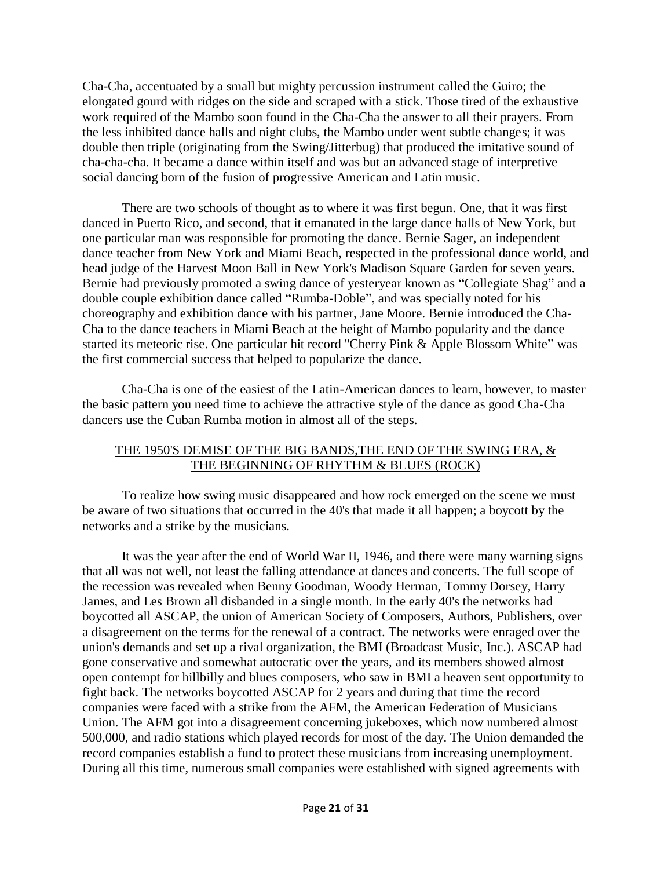Cha-Cha, accentuated by a small but mighty percussion instrument called the Guiro; the elongated gourd with ridges on the side and scraped with a stick. Those tired of the exhaustive work required of the Mambo soon found in the Cha-Cha the answer to all their prayers. From the less inhibited dance halls and night clubs, the Mambo under went subtle changes; it was double then triple (originating from the Swing/Jitterbug) that produced the imitative sound of cha-cha-cha. It became a dance within itself and was but an advanced stage of interpretive social dancing born of the fusion of progressive American and Latin music.

There are two schools of thought as to where it was first begun. One, that it was first danced in Puerto Rico, and second, that it emanated in the large dance halls of New York, but one particular man was responsible for promoting the dance. Bernie Sager, an independent dance teacher from New York and Miami Beach, respected in the professional dance world, and head judge of the Harvest Moon Ball in New York's Madison Square Garden for seven years. Bernie had previously promoted a swing dance of yesteryear known as "Collegiate Shag" and a double couple exhibition dance called "Rumba-Doble", and was specially noted for his choreography and exhibition dance with his partner, Jane Moore. Bernie introduced the Cha-Cha to the dance teachers in Miami Beach at the height of Mambo popularity and the dance started its meteoric rise. One particular hit record "Cherry Pink & Apple Blossom White" was the first commercial success that helped to popularize the dance.

Cha-Cha is one of the easiest of the Latin-American dances to learn, however, to master the basic pattern you need time to achieve the attractive style of the dance as good Cha-Cha dancers use the Cuban Rumba motion in almost all of the steps.

## THE 1950'S DEMISE OF THE BIG BANDS,THE END OF THE SWING ERA, & THE BEGINNING OF RHYTHM & BLUES (ROCK)

To realize how swing music disappeared and how rock emerged on the scene we must be aware of two situations that occurred in the 40's that made it all happen; a boycott by the networks and a strike by the musicians.

It was the year after the end of World War II, 1946, and there were many warning signs that all was not well, not least the falling attendance at dances and concerts. The full scope of the recession was revealed when Benny Goodman, Woody Herman, Tommy Dorsey, Harry James, and Les Brown all disbanded in a single month. In the early 40's the networks had boycotted all ASCAP, the union of American Society of Composers, Authors, Publishers, over a disagreement on the terms for the renewal of a contract. The networks were enraged over the union's demands and set up a rival organization, the BMI (Broadcast Music, Inc.). ASCAP had gone conservative and somewhat autocratic over the years, and its members showed almost open contempt for hillbilly and blues composers, who saw in BMI a heaven sent opportunity to fight back. The networks boycotted ASCAP for 2 years and during that time the record companies were faced with a strike from the AFM, the American Federation of Musicians Union. The AFM got into a disagreement concerning jukeboxes, which now numbered almost 500,000, and radio stations which played records for most of the day. The Union demanded the record companies establish a fund to protect these musicians from increasing unemployment. During all this time, numerous small companies were established with signed agreements with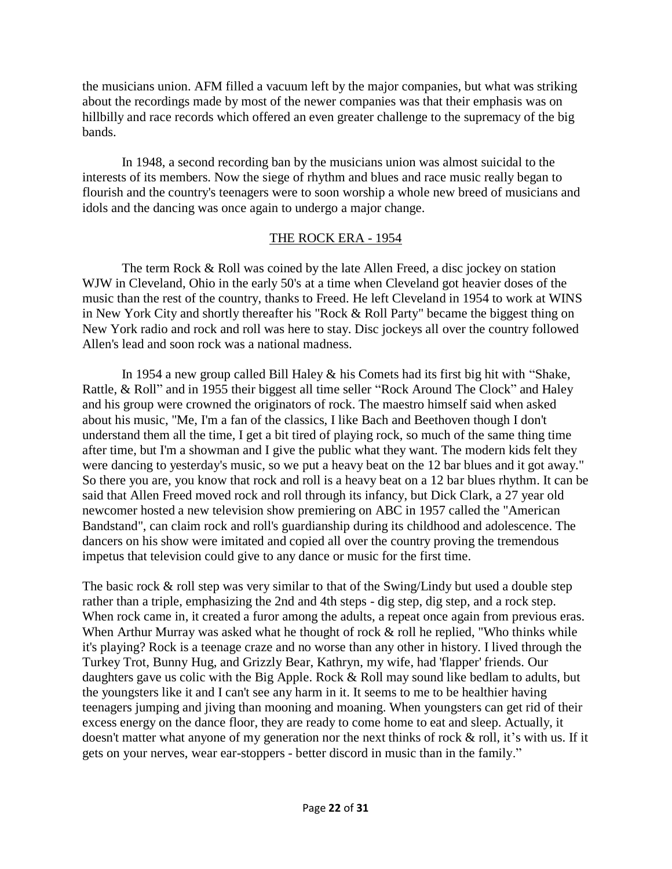the musicians union. AFM filled a vacuum left by the major companies, but what was striking about the recordings made by most of the newer companies was that their emphasis was on hillbilly and race records which offered an even greater challenge to the supremacy of the big bands.

In 1948, a second recording ban by the musicians union was almost suicidal to the interests of its members. Now the siege of rhythm and blues and race music really began to flourish and the country's teenagers were to soon worship a whole new breed of musicians and idols and the dancing was once again to undergo a major change.

### THE ROCK ERA - 1954

The term Rock & Roll was coined by the late Allen Freed, a disc jockey on station WJW in Cleveland, Ohio in the early 50's at a time when Cleveland got heavier doses of the music than the rest of the country, thanks to Freed. He left Cleveland in 1954 to work at WINS in New York City and shortly thereafter his "Rock & Roll Party" became the biggest thing on New York radio and rock and roll was here to stay. Disc jockeys all over the country followed Allen's lead and soon rock was a national madness.

In 1954 a new group called Bill Haley & his Comets had its first big hit with "Shake, Rattle, & Roll" and in 1955 their biggest all time seller "Rock Around The Clock" and Haley and his group were crowned the originators of rock. The maestro himself said when asked about his music, "Me, I'm a fan of the classics, I like Bach and Beethoven though I don't understand them all the time, I get a bit tired of playing rock, so much of the same thing time after time, but I'm a showman and I give the public what they want. The modern kids felt they were dancing to yesterday's music, so we put a heavy beat on the 12 bar blues and it got away." So there you are, you know that rock and roll is a heavy beat on a 12 bar blues rhythm. It can be said that Allen Freed moved rock and roll through its infancy, but Dick Clark, a 27 year old newcomer hosted a new television show premiering on ABC in 1957 called the "American Bandstand", can claim rock and roll's guardianship during its childhood and adolescence. The dancers on his show were imitated and copied all over the country proving the tremendous impetus that television could give to any dance or music for the first time.

The basic rock & roll step was very similar to that of the Swing/Lindy but used a double step rather than a triple, emphasizing the 2nd and 4th steps - dig step, dig step, and a rock step. When rock came in, it created a furor among the adults, a repeat once again from previous eras. When Arthur Murray was asked what he thought of rock  $\&$  roll he replied, "Who thinks while it's playing? Rock is a teenage craze and no worse than any other in history. I lived through the Turkey Trot, Bunny Hug, and Grizzly Bear, Kathryn, my wife, had 'flapper' friends. Our daughters gave us colic with the Big Apple. Rock & Roll may sound like bedlam to adults, but the youngsters like it and I can't see any harm in it. It seems to me to be healthier having teenagers jumping and jiving than mooning and moaning. When youngsters can get rid of their excess energy on the dance floor, they are ready to come home to eat and sleep. Actually, it doesn't matter what anyone of my generation nor the next thinks of rock & roll, it's with us. If it gets on your nerves, wear ear-stoppers - better discord in music than in the family."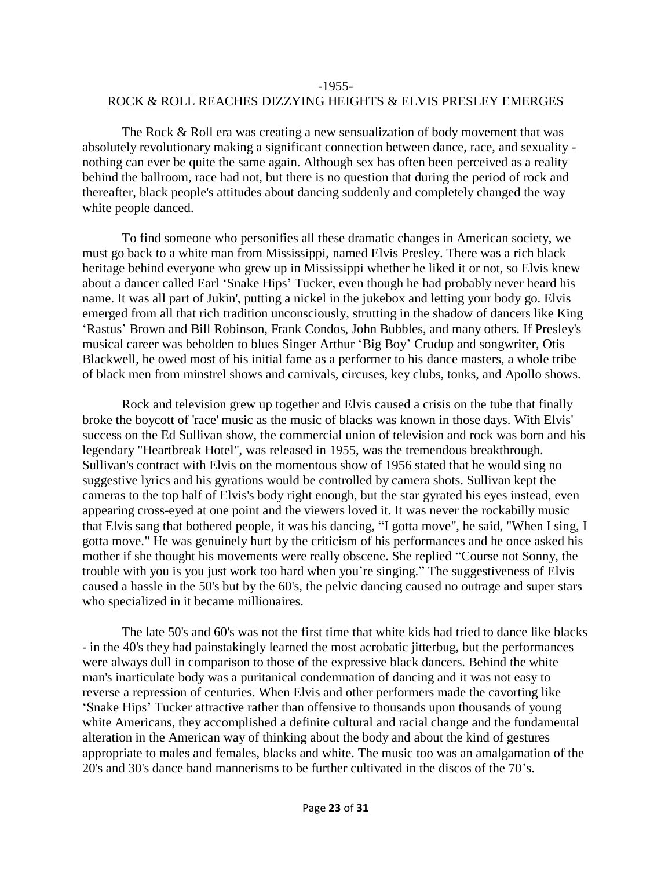## -1955- ROCK & ROLL REACHES DIZZYING HEIGHTS & ELVIS PRESLEY EMERGES

The Rock & Roll era was creating a new sensualization of body movement that was absolutely revolutionary making a significant connection between dance, race, and sexuality nothing can ever be quite the same again. Although sex has often been perceived as a reality behind the ballroom, race had not, but there is no question that during the period of rock and thereafter, black people's attitudes about dancing suddenly and completely changed the way white people danced.

To find someone who personifies all these dramatic changes in American society, we must go back to a white man from Mississippi, named Elvis Presley. There was a rich black heritage behind everyone who grew up in Mississippi whether he liked it or not, so Elvis knew about a dancer called Earl 'Snake Hips' Tucker, even though he had probably never heard his name. It was all part of Jukin', putting a nickel in the jukebox and letting your body go. Elvis emerged from all that rich tradition unconsciously, strutting in the shadow of dancers like King 'Rastus' Brown and Bill Robinson, Frank Condos, John Bubbles, and many others. If Presley's musical career was beholden to blues Singer Arthur 'Big Boy' Crudup and songwriter, Otis Blackwell, he owed most of his initial fame as a performer to his dance masters, a whole tribe of black men from minstrel shows and carnivals, circuses, key clubs, tonks, and Apollo shows.

Rock and television grew up together and Elvis caused a crisis on the tube that finally broke the boycott of 'race' music as the music of blacks was known in those days. With Elvis' success on the Ed Sullivan show, the commercial union of television and rock was born and his legendary "Heartbreak Hotel", was released in 1955, was the tremendous breakthrough. Sullivan's contract with Elvis on the momentous show of 1956 stated that he would sing no suggestive lyrics and his gyrations would be controlled by camera shots. Sullivan kept the cameras to the top half of Elvis's body right enough, but the star gyrated his eyes instead, even appearing cross-eyed at one point and the viewers loved it. It was never the rockabilly music that Elvis sang that bothered people, it was his dancing, "I gotta move", he said, "When I sing, I gotta move." He was genuinely hurt by the criticism of his performances and he once asked his mother if she thought his movements were really obscene. She replied "Course not Sonny, the trouble with you is you just work too hard when you're singing." The suggestiveness of Elvis caused a hassle in the 50's but by the 60's, the pelvic dancing caused no outrage and super stars who specialized in it became millionaires.

The late 50's and 60's was not the first time that white kids had tried to dance like blacks - in the 40's they had painstakingly learned the most acrobatic jitterbug, but the performances were always dull in comparison to those of the expressive black dancers. Behind the white man's inarticulate body was a puritanical condemnation of dancing and it was not easy to reverse a repression of centuries. When Elvis and other performers made the cavorting like 'Snake Hips' Tucker attractive rather than offensive to thousands upon thousands of young white Americans, they accomplished a definite cultural and racial change and the fundamental alteration in the American way of thinking about the body and about the kind of gestures appropriate to males and females, blacks and white. The music too was an amalgamation of the 20's and 30's dance band mannerisms to be further cultivated in the discos of the 70's.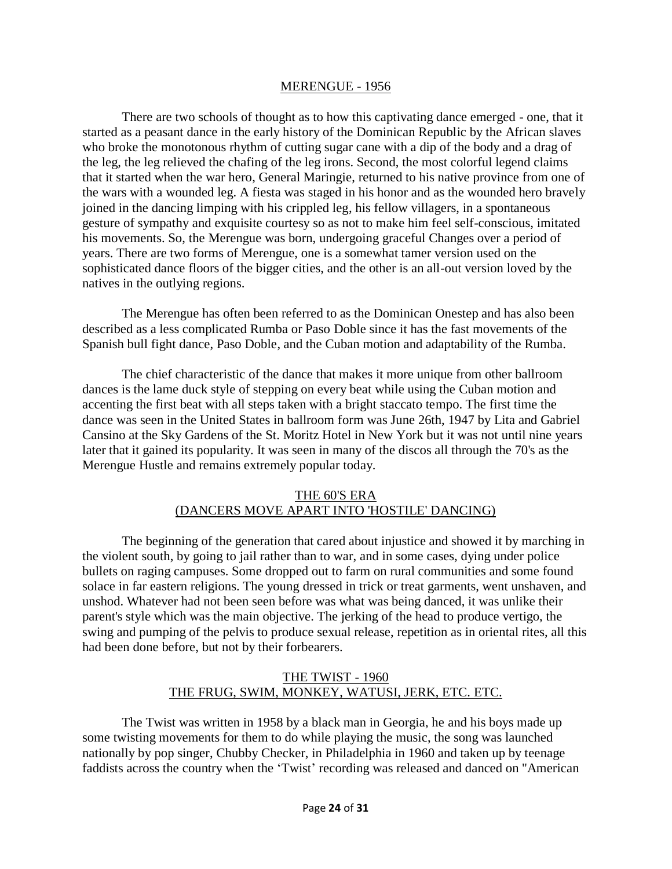#### MERENGUE - 1956

There are two schools of thought as to how this captivating dance emerged - one, that it started as a peasant dance in the early history of the Dominican Republic by the African slaves who broke the monotonous rhythm of cutting sugar cane with a dip of the body and a drag of the leg, the leg relieved the chafing of the leg irons. Second, the most colorful legend claims that it started when the war hero, General Maringie, returned to his native province from one of the wars with a wounded leg. A fiesta was staged in his honor and as the wounded hero bravely joined in the dancing limping with his crippled leg, his fellow villagers, in a spontaneous gesture of sympathy and exquisite courtesy so as not to make him feel self-conscious, imitated his movements. So, the Merengue was born, undergoing graceful Changes over a period of years. There are two forms of Merengue, one is a somewhat tamer version used on the sophisticated dance floors of the bigger cities, and the other is an all-out version loved by the natives in the outlying regions.

The Merengue has often been referred to as the Dominican Onestep and has also been described as a less complicated Rumba or Paso Doble since it has the fast movements of the Spanish bull fight dance, Paso Doble, and the Cuban motion and adaptability of the Rumba.

The chief characteristic of the dance that makes it more unique from other ballroom dances is the lame duck style of stepping on every beat while using the Cuban motion and accenting the first beat with all steps taken with a bright staccato tempo. The first time the dance was seen in the United States in ballroom form was June 26th, 1947 by Lita and Gabriel Cansino at the Sky Gardens of the St. Moritz Hotel in New York but it was not until nine years later that it gained its popularity. It was seen in many of the discos all through the 70's as the Merengue Hustle and remains extremely popular today.

### THE 60'S ERA (DANCERS MOVE APART INTO 'HOSTILE' DANCING)

The beginning of the generation that cared about injustice and showed it by marching in the violent south, by going to jail rather than to war, and in some cases, dying under police bullets on raging campuses. Some dropped out to farm on rural communities and some found solace in far eastern religions. The young dressed in trick or treat garments, went unshaven, and unshod. Whatever had not been seen before was what was being danced, it was unlike their parent's style which was the main objective. The jerking of the head to produce vertigo, the swing and pumping of the pelvis to produce sexual release, repetition as in oriental rites, all this had been done before, but not by their forbearers.

## THE TWIST - 1960 THE FRUG, SWIM, MONKEY, WATUSI, JERK, ETC. ETC.

The Twist was written in 1958 by a black man in Georgia, he and his boys made up some twisting movements for them to do while playing the music, the song was launched nationally by pop singer, Chubby Checker, in Philadelphia in 1960 and taken up by teenage faddists across the country when the 'Twist' recording was released and danced on "American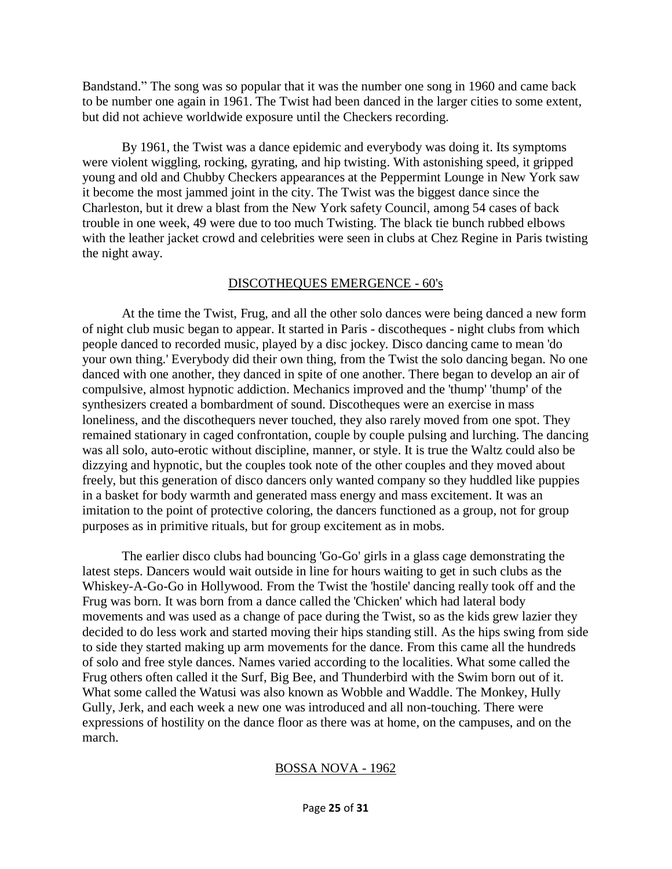Bandstand." The song was so popular that it was the number one song in 1960 and came back to be number one again in 1961. The Twist had been danced in the larger cities to some extent, but did not achieve worldwide exposure until the Checkers recording.

By 1961, the Twist was a dance epidemic and everybody was doing it. Its symptoms were violent wiggling, rocking, gyrating, and hip twisting. With astonishing speed, it gripped young and old and Chubby Checkers appearances at the Peppermint Lounge in New York saw it become the most jammed joint in the city. The Twist was the biggest dance since the Charleston, but it drew a blast from the New York safety Council, among 54 cases of back trouble in one week, 49 were due to too much Twisting. The black tie bunch rubbed elbows with the leather jacket crowd and celebrities were seen in clubs at Chez Regine in Paris twisting the night away.

### DISCOTHEQUES EMERGENCE - 60's

At the time the Twist, Frug, and all the other solo dances were being danced a new form of night club music began to appear. It started in Paris - discotheques - night clubs from which people danced to recorded music, played by a disc jockey. Disco dancing came to mean 'do your own thing.' Everybody did their own thing, from the Twist the solo dancing began. No one danced with one another, they danced in spite of one another. There began to develop an air of compulsive, almost hypnotic addiction. Mechanics improved and the 'thump' 'thump' of the synthesizers created a bombardment of sound. Discotheques were an exercise in mass loneliness, and the discothequers never touched, they also rarely moved from one spot. They remained stationary in caged confrontation, couple by couple pulsing and lurching. The dancing was all solo, auto-erotic without discipline, manner, or style. It is true the Waltz could also be dizzying and hypnotic, but the couples took note of the other couples and they moved about freely, but this generation of disco dancers only wanted company so they huddled like puppies in a basket for body warmth and generated mass energy and mass excitement. It was an imitation to the point of protective coloring, the dancers functioned as a group, not for group purposes as in primitive rituals, but for group excitement as in mobs.

The earlier disco clubs had bouncing 'Go-Go' girls in a glass cage demonstrating the latest steps. Dancers would wait outside in line for hours waiting to get in such clubs as the Whiskey-A-Go-Go in Hollywood. From the Twist the 'hostile' dancing really took off and the Frug was born. It was born from a dance called the 'Chicken' which had lateral body movements and was used as a change of pace during the Twist, so as the kids grew lazier they decided to do less work and started moving their hips standing still. As the hips swing from side to side they started making up arm movements for the dance. From this came all the hundreds of solo and free style dances. Names varied according to the localities. What some called the Frug others often called it the Surf, Big Bee, and Thunderbird with the Swim born out of it. What some called the Watusi was also known as Wobble and Waddle. The Monkey, Hully Gully, Jerk, and each week a new one was introduced and all non-touching. There were expressions of hostility on the dance floor as there was at home, on the campuses, and on the march.

## BOSSA NOVA - 1962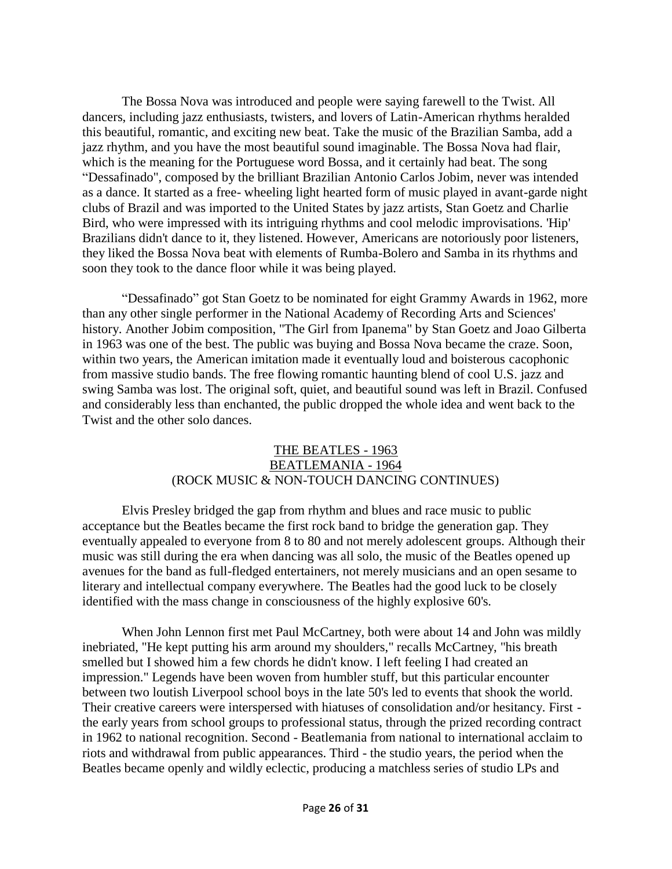The Bossa Nova was introduced and people were saying farewell to the Twist. All dancers, including jazz enthusiasts, twisters, and lovers of Latin-American rhythms heralded this beautiful, romantic, and exciting new beat. Take the music of the Brazilian Samba, add a jazz rhythm, and you have the most beautiful sound imaginable. The Bossa Nova had flair, which is the meaning for the Portuguese word Bossa, and it certainly had beat. The song "Dessafinado", composed by the brilliant Brazilian Antonio Carlos Jobim, never was intended as a dance. It started as a free- wheeling light hearted form of music played in avant-garde night clubs of Brazil and was imported to the United States by jazz artists, Stan Goetz and Charlie Bird, who were impressed with its intriguing rhythms and cool melodic improvisations. 'Hip' Brazilians didn't dance to it, they listened. However, Americans are notoriously poor listeners, they liked the Bossa Nova beat with elements of Rumba-Bolero and Samba in its rhythms and soon they took to the dance floor while it was being played.

"Dessafinado" got Stan Goetz to be nominated for eight Grammy Awards in 1962, more than any other single performer in the National Academy of Recording Arts and Sciences' history. Another Jobim composition, "The Girl from Ipanema" by Stan Goetz and Joao Gilberta in 1963 was one of the best. The public was buying and Bossa Nova became the craze. Soon, within two years, the American imitation made it eventually loud and boisterous cacophonic from massive studio bands. The free flowing romantic haunting blend of cool U.S. jazz and swing Samba was lost. The original soft, quiet, and beautiful sound was left in Brazil. Confused and considerably less than enchanted, the public dropped the whole idea and went back to the Twist and the other solo dances.

## THE BEATLES - 1963 BEATLEMANIA - 1964 (ROCK MUSIC & NON-TOUCH DANCING CONTINUES)

Elvis Presley bridged the gap from rhythm and blues and race music to public acceptance but the Beatles became the first rock band to bridge the generation gap. They eventually appealed to everyone from 8 to 80 and not merely adolescent groups. Although their music was still during the era when dancing was all solo, the music of the Beatles opened up avenues for the band as full-fledged entertainers, not merely musicians and an open sesame to literary and intellectual company everywhere. The Beatles had the good luck to be closely identified with the mass change in consciousness of the highly explosive 60's.

When John Lennon first met Paul McCartney, both were about 14 and John was mildly inebriated, "He kept putting his arm around my shoulders," recalls McCartney, "his breath smelled but I showed him a few chords he didn't know. I left feeling I had created an impression." Legends have been woven from humbler stuff, but this particular encounter between two loutish Liverpool school boys in the late 50's led to events that shook the world. Their creative careers were interspersed with hiatuses of consolidation and/or hesitancy. First the early years from school groups to professional status, through the prized recording contract in 1962 to national recognition. Second - Beatlemania from national to international acclaim to riots and withdrawal from public appearances. Third - the studio years, the period when the Beatles became openly and wildly eclectic, producing a matchless series of studio LPs and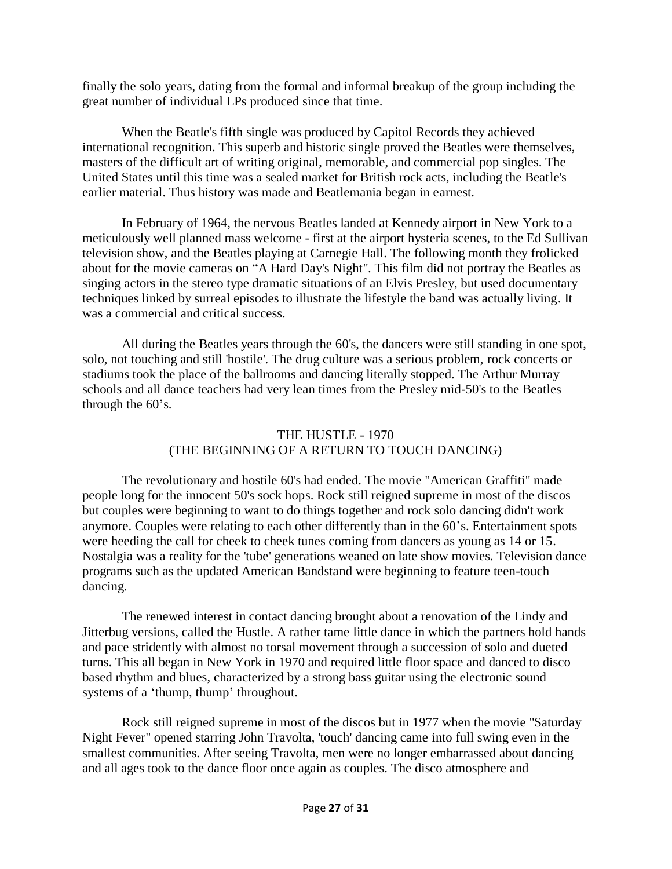finally the solo years, dating from the formal and informal breakup of the group including the great number of individual LPs produced since that time.

When the Beatle's fifth single was produced by Capitol Records they achieved international recognition. This superb and historic single proved the Beatles were themselves, masters of the difficult art of writing original, memorable, and commercial pop singles. The United States until this time was a sealed market for British rock acts, including the Beatle's earlier material. Thus history was made and Beatlemania began in earnest.

In February of 1964, the nervous Beatles landed at Kennedy airport in New York to a meticulously well planned mass welcome - first at the airport hysteria scenes, to the Ed Sullivan television show, and the Beatles playing at Carnegie Hall. The following month they frolicked about for the movie cameras on "A Hard Day's Night". This film did not portray the Beatles as singing actors in the stereo type dramatic situations of an Elvis Presley, but used documentary techniques linked by surreal episodes to illustrate the lifestyle the band was actually living. It was a commercial and critical success.

All during the Beatles years through the 60's, the dancers were still standing in one spot, solo, not touching and still 'hostile'. The drug culture was a serious problem, rock concerts or stadiums took the place of the ballrooms and dancing literally stopped. The Arthur Murray schools and all dance teachers had very lean times from the Presley mid-50's to the Beatles through the 60's.

## THE HUSTLE - 1970 (THE BEGINNING OF A RETURN TO TOUCH DANCING)

The revolutionary and hostile 60's had ended. The movie "American Graffiti" made people long for the innocent 50's sock hops. Rock still reigned supreme in most of the discos but couples were beginning to want to do things together and rock solo dancing didn't work anymore. Couples were relating to each other differently than in the 60's. Entertainment spots were heeding the call for cheek to cheek tunes coming from dancers as young as 14 or 15. Nostalgia was a reality for the 'tube' generations weaned on late show movies. Television dance programs such as the updated American Bandstand were beginning to feature teen-touch dancing.

The renewed interest in contact dancing brought about a renovation of the Lindy and Jitterbug versions, called the Hustle. A rather tame little dance in which the partners hold hands and pace stridently with almost no torsal movement through a succession of solo and dueted turns. This all began in New York in 1970 and required little floor space and danced to disco based rhythm and blues, characterized by a strong bass guitar using the electronic sound systems of a 'thump, thump' throughout.

Rock still reigned supreme in most of the discos but in 1977 when the movie "Saturday Night Fever" opened starring John Travolta, 'touch' dancing came into full swing even in the smallest communities. After seeing Travolta, men were no longer embarrassed about dancing and all ages took to the dance floor once again as couples. The disco atmosphere and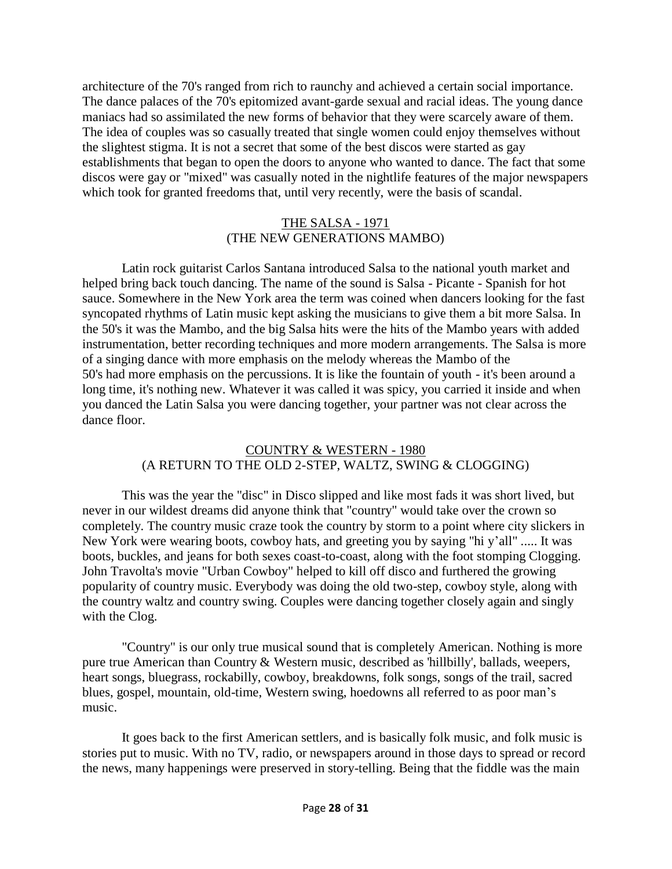architecture of the 70's ranged from rich to raunchy and achieved a certain social importance. The dance palaces of the 70's epitomized avant-garde sexual and racial ideas. The young dance maniacs had so assimilated the new forms of behavior that they were scarcely aware of them. The idea of couples was so casually treated that single women could enjoy themselves without the slightest stigma. It is not a secret that some of the best discos were started as gay establishments that began to open the doors to anyone who wanted to dance. The fact that some discos were gay or "mixed" was casually noted in the nightlife features of the major newspapers which took for granted freedoms that, until very recently, were the basis of scandal.

### THE SALSA - 1971 (THE NEW GENERATIONS MAMBO)

Latin rock guitarist Carlos Santana introduced Salsa to the national youth market and helped bring back touch dancing. The name of the sound is Salsa - Picante - Spanish for hot sauce. Somewhere in the New York area the term was coined when dancers looking for the fast syncopated rhythms of Latin music kept asking the musicians to give them a bit more Salsa. In the 50's it was the Mambo, and the big Salsa hits were the hits of the Mambo years with added instrumentation, better recording techniques and more modern arrangements. The Salsa is more of a singing dance with more emphasis on the melody whereas the Mambo of the 50's had more emphasis on the percussions. It is like the fountain of youth - it's been around a long time, it's nothing new. Whatever it was called it was spicy, you carried it inside and when you danced the Latin Salsa you were dancing together, your partner was not clear across the dance floor.

## COUNTRY & WESTERN - 1980 (A RETURN TO THE OLD 2-STEP, WALTZ, SWING & CLOGGING)

This was the year the "disc" in Disco slipped and like most fads it was short lived, but never in our wildest dreams did anyone think that "country" would take over the crown so completely. The country music craze took the country by storm to a point where city slickers in New York were wearing boots, cowboy hats, and greeting you by saying "hi y'all" ..... It was boots, buckles, and jeans for both sexes coast-to-coast, along with the foot stomping Clogging. John Travolta's movie "Urban Cowboy" helped to kill off disco and furthered the growing popularity of country music. Everybody was doing the old two-step, cowboy style, along with the country waltz and country swing. Couples were dancing together closely again and singly with the Clog.

"Country" is our only true musical sound that is completely American. Nothing is more pure true American than Country & Western music, described as 'hillbilly', ballads, weepers, heart songs, bluegrass, rockabilly, cowboy, breakdowns, folk songs, songs of the trail, sacred blues, gospel, mountain, old-time, Western swing, hoedowns all referred to as poor man's music.

It goes back to the first American settlers, and is basically folk music, and folk music is stories put to music. With no TV, radio, or newspapers around in those days to spread or record the news, many happenings were preserved in story-telling. Being that the fiddle was the main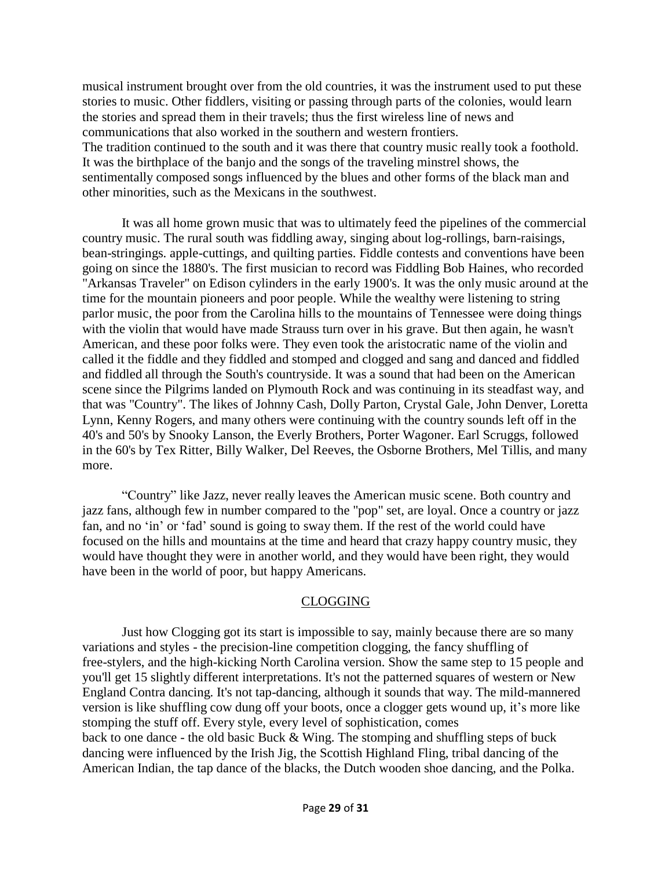musical instrument brought over from the old countries, it was the instrument used to put these stories to music. Other fiddlers, visiting or passing through parts of the colonies, would learn the stories and spread them in their travels; thus the first wireless line of news and communications that also worked in the southern and western frontiers. The tradition continued to the south and it was there that country music really took a foothold. It was the birthplace of the banjo and the songs of the traveling minstrel shows, the sentimentally composed songs influenced by the blues and other forms of the black man and other minorities, such as the Mexicans in the southwest.

It was all home grown music that was to ultimately feed the pipelines of the commercial country music. The rural south was fiddling away, singing about log-rollings, barn-raisings, bean-stringings. apple-cuttings, and quilting parties. Fiddle contests and conventions have been going on since the 1880's. The first musician to record was Fiddling Bob Haines, who recorded "Arkansas Traveler" on Edison cylinders in the early 1900's. It was the only music around at the time for the mountain pioneers and poor people. While the wealthy were listening to string parlor music, the poor from the Carolina hills to the mountains of Tennessee were doing things with the violin that would have made Strauss turn over in his grave. But then again, he wasn't American, and these poor folks were. They even took the aristocratic name of the violin and called it the fiddle and they fiddled and stomped and clogged and sang and danced and fiddled and fiddled all through the South's countryside. It was a sound that had been on the American scene since the Pilgrims landed on Plymouth Rock and was continuing in its steadfast way, and that was "Country". The likes of Johnny Cash, Dolly Parton, Crystal Gale, John Denver, Loretta Lynn, Kenny Rogers, and many others were continuing with the country sounds left off in the 40's and 50's by Snooky Lanson, the Everly Brothers, Porter Wagoner. Earl Scruggs, followed in the 60's by Tex Ritter, Billy Walker, Del Reeves, the Osborne Brothers, Mel Tillis, and many more.

"Country" like Jazz, never really leaves the American music scene. Both country and jazz fans, although few in number compared to the "pop" set, are loyal. Once a country or jazz fan, and no 'in' or 'fad' sound is going to sway them. If the rest of the world could have focused on the hills and mountains at the time and heard that crazy happy country music, they would have thought they were in another world, and they would have been right, they would have been in the world of poor, but happy Americans.

## CLOGGING

Just how Clogging got its start is impossible to say, mainly because there are so many variations and styles - the precision-line competition clogging, the fancy shuffling of free-stylers, and the high-kicking North Carolina version. Show the same step to 15 people and you'll get 15 slightly different interpretations. It's not the patterned squares of western or New England Contra dancing. It's not tap-dancing, although it sounds that way. The mild-mannered version is like shuffling cow dung off your boots, once a clogger gets wound up, it's more like stomping the stuff off. Every style, every level of sophistication, comes back to one dance - the old basic Buck & Wing. The stomping and shuffling steps of buck dancing were influenced by the Irish Jig, the Scottish Highland Fling, tribal dancing of the American Indian, the tap dance of the blacks, the Dutch wooden shoe dancing, and the Polka.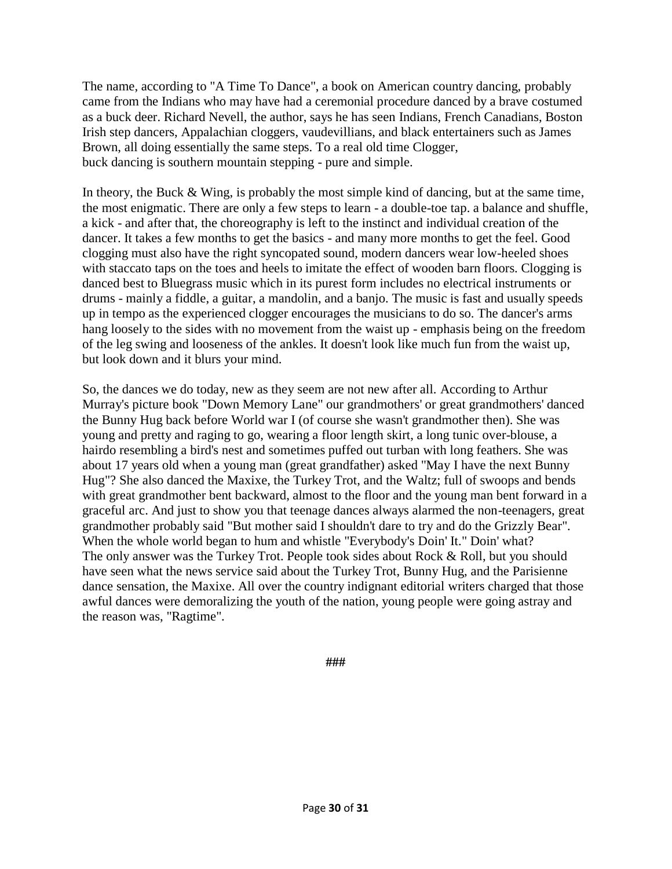The name, according to "A Time To Dance", a book on American country dancing, probably came from the Indians who may have had a ceremonial procedure danced by a brave costumed as a buck deer. Richard Nevell, the author, says he has seen Indians, French Canadians, Boston Irish step dancers, Appalachian cloggers, vaudevillians, and black entertainers such as James Brown, all doing essentially the same steps. To a real old time Clogger, buck dancing is southern mountain stepping - pure and simple.

In theory, the Buck & Wing, is probably the most simple kind of dancing, but at the same time, the most enigmatic. There are only a few steps to learn - a double-toe tap. a balance and shuffle, a kick - and after that, the choreography is left to the instinct and individual creation of the dancer. It takes a few months to get the basics - and many more months to get the feel. Good clogging must also have the right syncopated sound, modern dancers wear low-heeled shoes with staccato taps on the toes and heels to imitate the effect of wooden barn floors. Clogging is danced best to Bluegrass music which in its purest form includes no electrical instruments or drums - mainly a fiddle, a guitar, a mandolin, and a banjo. The music is fast and usually speeds up in tempo as the experienced clogger encourages the musicians to do so. The dancer's arms hang loosely to the sides with no movement from the waist up - emphasis being on the freedom of the leg swing and looseness of the ankles. It doesn't look like much fun from the waist up, but look down and it blurs your mind.

So, the dances we do today, new as they seem are not new after all. According to Arthur Murray's picture book "Down Memory Lane" our grandmothers' or great grandmothers' danced the Bunny Hug back before World war I (of course she wasn't grandmother then). She was young and pretty and raging to go, wearing a floor length skirt, a long tunic over-blouse, a hairdo resembling a bird's nest and sometimes puffed out turban with long feathers. She was about 17 years old when a young man (great grandfather) asked "May I have the next Bunny Hug"? She also danced the Maxixe, the Turkey Trot, and the Waltz; full of swoops and bends with great grandmother bent backward, almost to the floor and the young man bent forward in a graceful arc. And just to show you that teenage dances always alarmed the non-teenagers, great grandmother probably said "But mother said I shouldn't dare to try and do the Grizzly Bear". When the whole world began to hum and whistle "Everybody's Doin' It." Doin' what? The only answer was the Turkey Trot. People took sides about Rock & Roll, but you should have seen what the news service said about the Turkey Trot, Bunny Hug, and the Parisienne dance sensation, the Maxixe. All over the country indignant editorial writers charged that those awful dances were demoralizing the youth of the nation, young people were going astray and the reason was, "Ragtime".

**###**